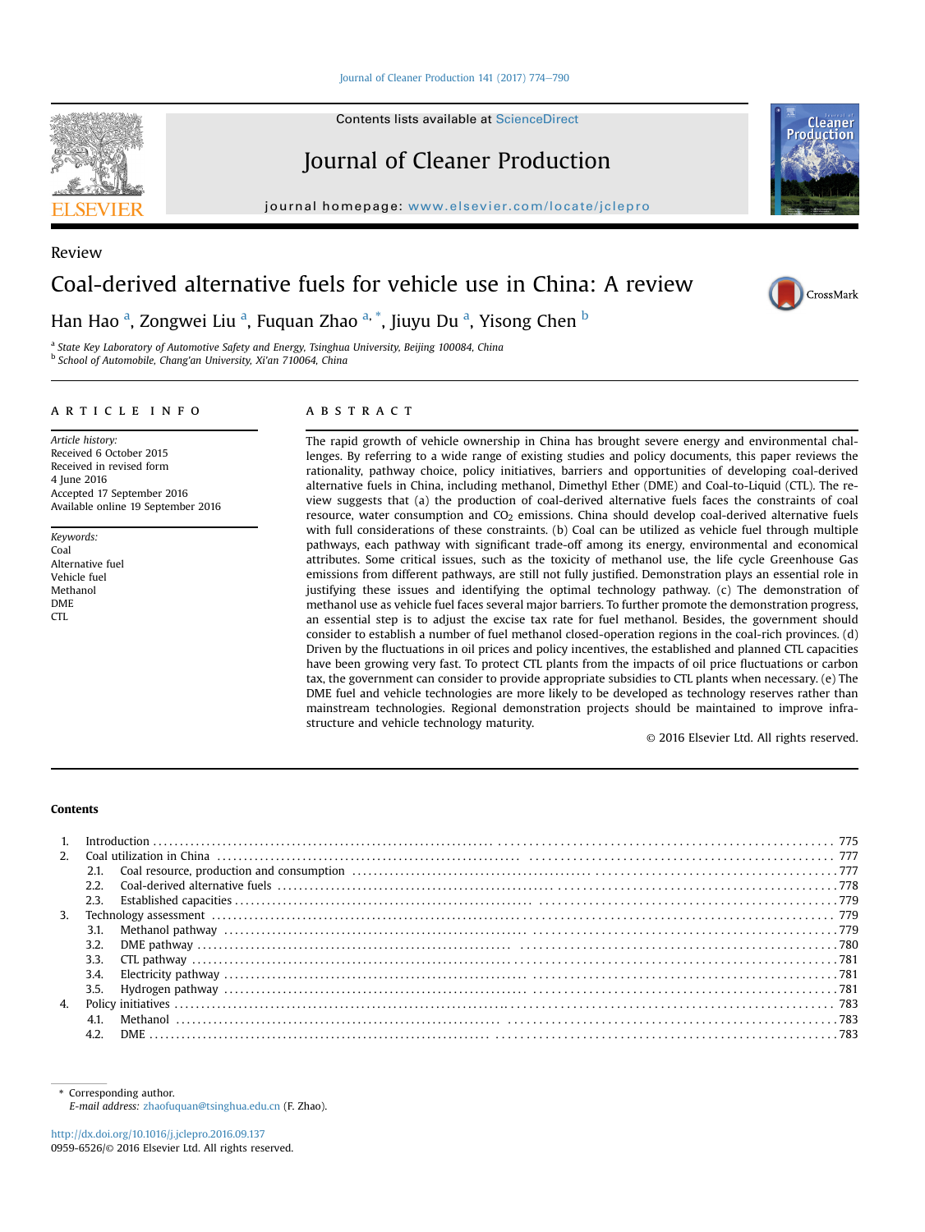#### [Journal of Cleaner Production 141 \(2017\) 774](http://dx.doi.org/10.1016/j.jclepro.2016.09.137)-[790](http://dx.doi.org/10.1016/j.jclepro.2016.09.137)

Contents lists available at ScienceDirect

# Journal of Cleaner Production

journal homepage: [www.elsevier.com/locate/jclepro](http://www.elsevier.com/locate/jclepro)

# Coal-derived alternative fuels for vehicle use in China: A review

Han Hao <sup>a</sup>, Zongwei Liu <sup>a</sup>, Fuquan Zhao <sup>a, \*</sup>, Jiuyu Du <sup>a</sup>, Yisong Chen <sup>b</sup>

<sup>a</sup> State Key Laboratory of Automotive Safety and Energy, Tsinghua University, Beijing 100084, China <sup>b</sup> School of Automobile, Chang'an University, Xi'an 710064, China

# article info

Article history: Received 6 October 2015 Received in revised form 4 June 2016 Accepted 17 September 2016 Available online 19 September 2016

Keywords: Coal Alternative fuel Vehicle fuel Methanol DME  $CTL$ 

# A B S T R A C T

The rapid growth of vehicle ownership in China has brought severe energy and environmental challenges. By referring to a wide range of existing studies and policy documents, this paper reviews the rationality, pathway choice, policy initiatives, barriers and opportunities of developing coal-derived alternative fuels in China, including methanol, Dimethyl Ether (DME) and Coal-to-Liquid (CTL). The review suggests that (a) the production of coal-derived alternative fuels faces the constraints of coal resource, water consumption and CO<sub>2</sub> emissions. China should develop coal-derived alternative fuels with full considerations of these constraints. (b) Coal can be utilized as vehicle fuel through multiple pathways, each pathway with significant trade-off among its energy, environmental and economical attributes. Some critical issues, such as the toxicity of methanol use, the life cycle Greenhouse Gas emissions from different pathways, are still not fully justified. Demonstration plays an essential role in justifying these issues and identifying the optimal technology pathway. (c) The demonstration of methanol use as vehicle fuel faces several major barriers. To further promote the demonstration progress, an essential step is to adjust the excise tax rate for fuel methanol. Besides, the government should consider to establish a number of fuel methanol closed-operation regions in the coal-rich provinces. (d) Driven by the fluctuations in oil prices and policy incentives, the established and planned CTL capacities have been growing very fast. To protect CTL plants from the impacts of oil price fluctuations or carbon tax, the government can consider to provide appropriate subsidies to CTL plants when necessary. (e) The DME fuel and vehicle technologies are more likely to be developed as technology reserves rather than mainstream technologies. Regional demonstration projects should be maintained to improve infrastructure and vehicle technology maturity.

© 2016 Elsevier Ltd. All rights reserved.

#### Contents

| $\mathcal{P}$ |      |  |
|---------------|------|--|
|               |      |  |
|               | 2.2. |  |
|               |      |  |
| 3.            |      |  |
|               |      |  |
|               | 3.2. |  |
|               |      |  |
|               | 3.4. |  |
|               |      |  |
| 4.            |      |  |
|               |      |  |
|               |      |  |



Review





Corresponding author. E-mail address: [zhaofuquan@tsinghua.edu.cn](mailto:zhaofuquan@tsinghua.edu.cn) (F. Zhao).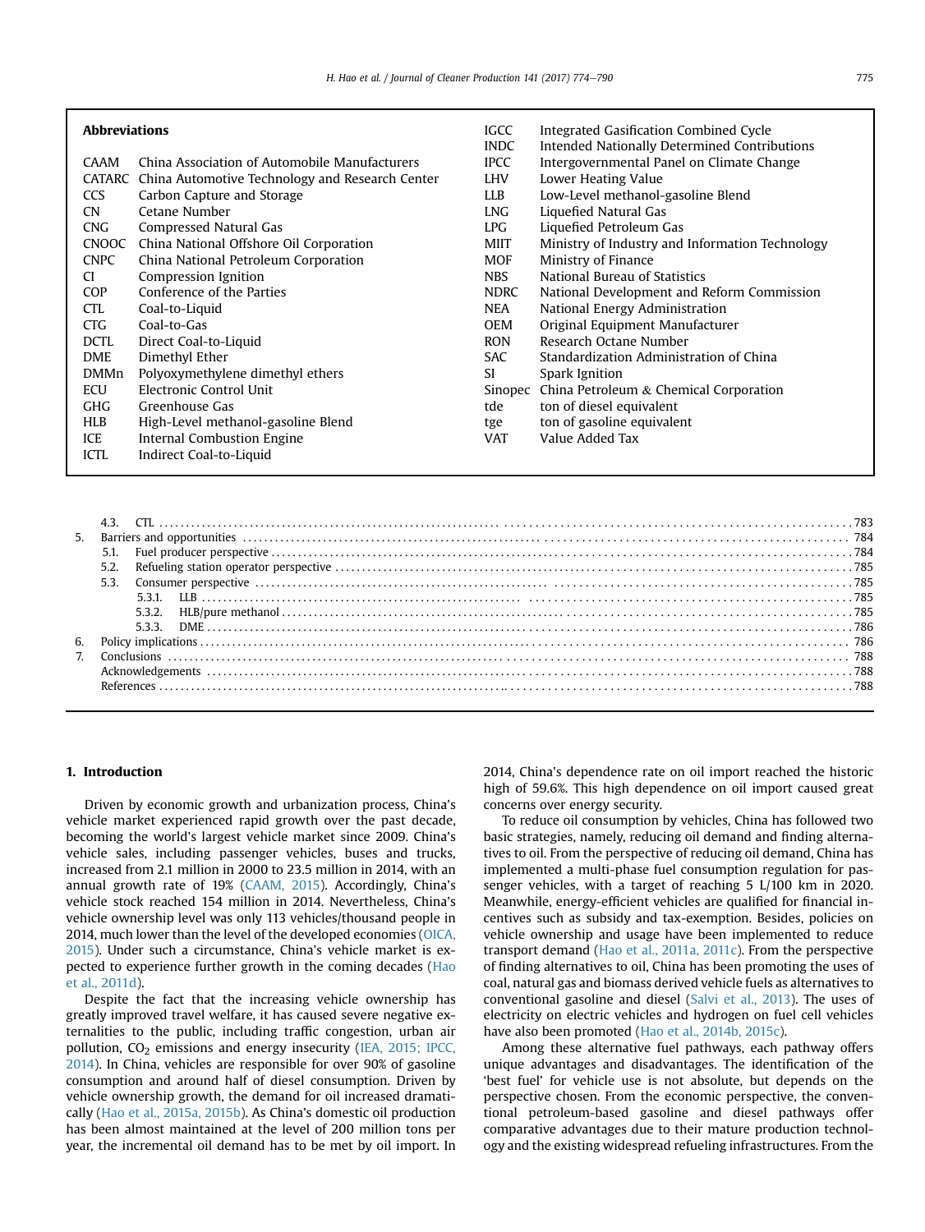| <b>Abbreviations</b><br>CAAM<br><b>CCS</b><br><b>CN</b><br><b>CNG</b><br><b>CNOOC</b><br><b>CNPC</b><br>CI.<br><b>COP</b><br><b>CTL</b><br><b>CTG</b><br><b>DCTL</b><br><b>DME</b><br><b>DMMn</b><br><b>ECU</b><br><b>GHG</b> | China Association of Automobile Manufacturers<br>CATARC China Automotive Technology and Research Center<br>Carbon Capture and Storage<br>Cetane Number<br>Compressed Natural Gas<br>China National Offshore Oil Corporation<br>China National Petroleum Corporation<br>Compression Ignition<br>Conference of the Parties<br>Coal-to-Liquid<br>Coal-to-Gas<br>Direct Coal-to-Liquid<br>Dimethyl Ether<br>Polyoxymethylene dimethyl ethers<br>Electronic Control Unit<br>Greenhouse Gas | IGCC<br><b>INDC</b><br><b>IPCC</b><br><b>LHV</b><br><b>LLB</b><br><b>LNG</b><br>LPG<br>MIIT<br><b>MOF</b><br><b>NBS</b><br><b>NDRC</b><br>NEA<br><b>OEM</b><br><b>RON</b><br><b>SAC</b><br>SI.<br>Sinopec<br>tde | Integrated Gasification Combined Cycle<br>Intended Nationally Determined Contributions<br>Intergovernmental Panel on Climate Change<br>Lower Heating Value<br>Low-Level methanol-gasoline Blend<br>Liquefied Natural Gas<br>Liquefied Petroleum Gas<br>Ministry of Industry and Information Technology<br>Ministry of Finance<br>National Bureau of Statistics<br>National Development and Reform Commission<br>National Energy Administration<br>Original Equipment Manufacturer<br>Research Octane Number<br>Standardization Administration of China<br>Spark Ignition<br>China Petroleum & Chemical Corporation<br>ton of diesel equivalent |
|-------------------------------------------------------------------------------------------------------------------------------------------------------------------------------------------------------------------------------|---------------------------------------------------------------------------------------------------------------------------------------------------------------------------------------------------------------------------------------------------------------------------------------------------------------------------------------------------------------------------------------------------------------------------------------------------------------------------------------|------------------------------------------------------------------------------------------------------------------------------------------------------------------------------------------------------------------|------------------------------------------------------------------------------------------------------------------------------------------------------------------------------------------------------------------------------------------------------------------------------------------------------------------------------------------------------------------------------------------------------------------------------------------------------------------------------------------------------------------------------------------------------------------------------------------------------------------------------------------------|
| <b>HLB</b>                                                                                                                                                                                                                    | High-Level methanol-gasoline Blend                                                                                                                                                                                                                                                                                                                                                                                                                                                    | tge                                                                                                                                                                                                              | ton of gasoline equivalent                                                                                                                                                                                                                                                                                                                                                                                                                                                                                                                                                                                                                     |
| ICE<br><b>ICTL</b>                                                                                                                                                                                                            | Internal Combustion Engine<br>Indirect Coal-to-Liquid                                                                                                                                                                                                                                                                                                                                                                                                                                 | <b>VAT</b>                                                                                                                                                                                                       | Value Added Tax                                                                                                                                                                                                                                                                                                                                                                                                                                                                                                                                                                                                                                |

| 6. |  |  |
|----|--|--|
|    |  |  |
|    |  |  |
|    |  |  |
|    |  |  |

#### 1. Introduction

Driven by economic growth and urbanization process, China's vehicle market experienced rapid growth over the past decade, becoming the world's largest vehicle market since 2009. China's vehicle sales, including passenger vehicles, buses and trucks, increased from 2.1 million in 2000 to 23.5 million in 2014, with an annual growth rate of 19% ([CAAM, 2015](#page-14-0)). Accordingly, China's vehicle stock reached 154 million in 2014. Nevertheless, China's vehicle ownership level was only 113 vehicles/thousand people in 2014, much lower than the level of the developed economies ([OICA,](#page-15-0) [2015\)](#page-15-0). Under such a circumstance, China's vehicle market is expected to experience further growth in the coming decades ([Hao](#page-14-0) [et al., 2011d](#page-14-0)).

Despite the fact that the increasing vehicle ownership has greatly improved travel welfare, it has caused severe negative externalities to the public, including traffic congestion, urban air pollution, CO<sub>2</sub> emissions and energy insecurity ([IEA, 2015; IPCC,](#page-15-0) [2014\)](#page-15-0). In China, vehicles are responsible for over 90% of gasoline consumption and around half of diesel consumption. Driven by vehicle ownership growth, the demand for oil increased dramatically [\(Hao et al., 2015a, 2015b\)](#page-14-0). As China's domestic oil production has been almost maintained at the level of 200 million tons per year, the incremental oil demand has to be met by oil import. In

2014, China's dependence rate on oil import reached the historic high of 59.6%. This high dependence on oil import caused great concerns over energy security.

To reduce oil consumption by vehicles, China has followed two basic strategies, namely, reducing oil demand and finding alternatives to oil. From the perspective of reducing oil demand, China has implemented a multi-phase fuel consumption regulation for passenger vehicles, with a target of reaching 5 L/100 km in 2020. Meanwhile, energy-efficient vehicles are qualified for financial incentives such as subsidy and tax-exemption. Besides, policies on vehicle ownership and usage have been implemented to reduce transport demand ([Hao et al., 2011a, 2011c\)](#page-14-0). From the perspective of finding alternatives to oil, China has been promoting the uses of coal, natural gas and biomass derived vehicle fuels as alternatives to conventional gasoline and diesel ([Salvi et al., 2013](#page-15-0)). The uses of electricity on electric vehicles and hydrogen on fuel cell vehicles have also been promoted [\(Hao et al., 2014b, 2015c](#page-14-0)).

Among these alternative fuel pathways, each pathway offers unique advantages and disadvantages. The identification of the 'best fuel' for vehicle use is not absolute, but depends on the perspective chosen. From the economic perspective, the conventional petroleum-based gasoline and diesel pathways offer comparative advantages due to their mature production technology and the existing widespread refueling infrastructures. From the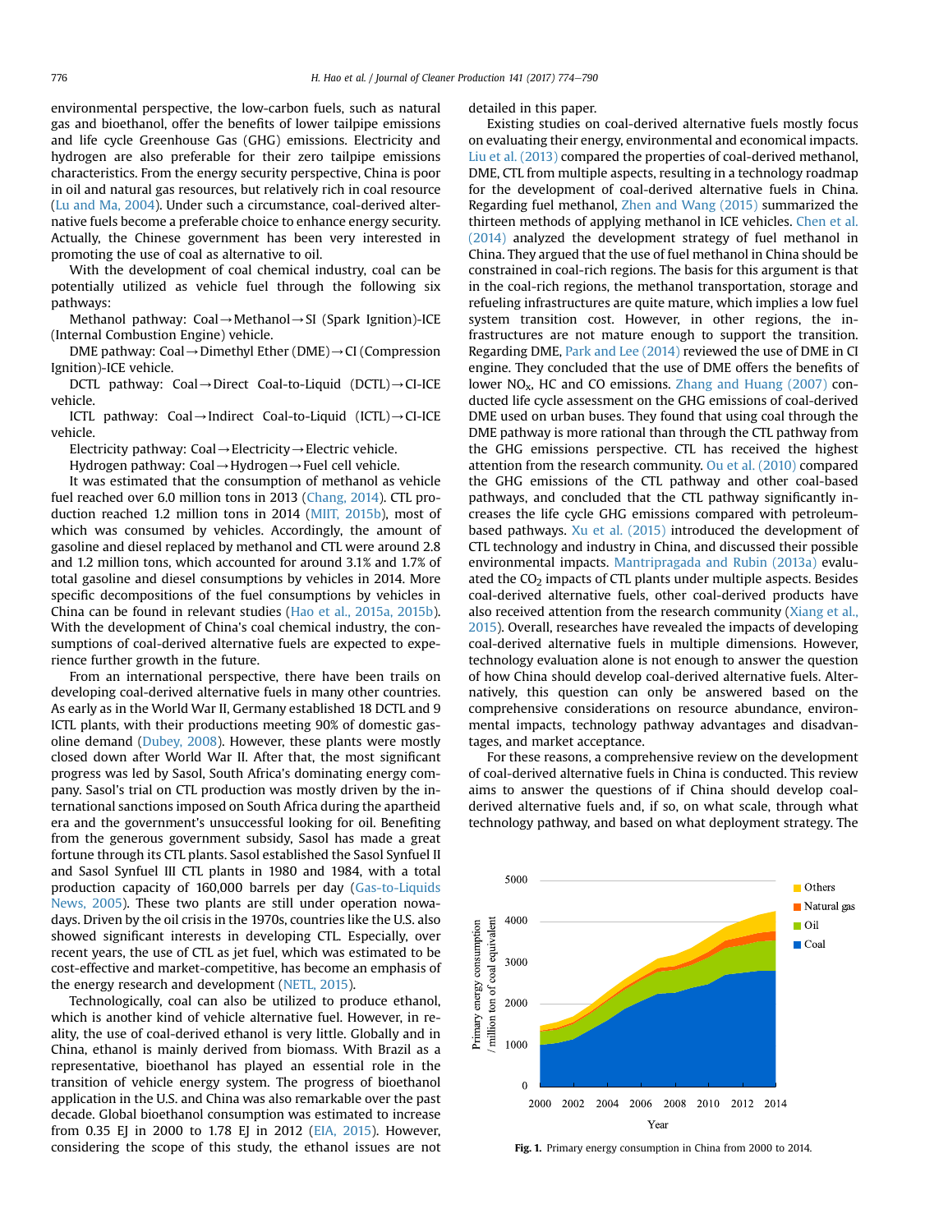<span id="page-2-0"></span>environmental perspective, the low-carbon fuels, such as natural gas and bioethanol, offer the benefits of lower tailpipe emissions and life cycle Greenhouse Gas (GHG) emissions. Electricity and hydrogen are also preferable for their zero tailpipe emissions characteristics. From the energy security perspective, China is poor in oil and natural gas resources, but relatively rich in coal resource ([Lu and Ma, 2004\)](#page-15-0). Under such a circumstance, coal-derived alternative fuels become a preferable choice to enhance energy security. Actually, the Chinese government has been very interested in promoting the use of coal as alternative to oil.

With the development of coal chemical industry, coal can be potentially utilized as vehicle fuel through the following six pathways:

Methanol pathway: Coal $\rightarrow$ Methanol $\rightarrow$ SI (Spark Ignition)-ICE (Internal Combustion Engine) vehicle.

DME pathway: Coal  $\rightarrow$  Dimethyl Ether (DME) $\rightarrow$  CI (Compression Ignition)-ICE vehicle.

DCTL pathway: Coal $\rightarrow$ Direct Coal-to-Liquid (DCTL) $\rightarrow$ CI-ICE vehicle.

ICTL pathway: Coal $\rightarrow$ Indirect Coal-to-Liquid (ICTL) $\rightarrow$ CI-ICE vehicle.

Electricity pathway: Coal  $\rightarrow$  Electricity  $\rightarrow$  Electric vehicle.

Hydrogen pathway: Coal $\rightarrow$ Hydrogen $\rightarrow$ Fuel cell vehicle.

It was estimated that the consumption of methanol as vehicle fuel reached over 6.0 million tons in 2013 ([Chang, 2014](#page-14-0)). CTL production reached 1.2 million tons in 2014 [\(MIIT, 2015b](#page-15-0)), most of which was consumed by vehicles. Accordingly, the amount of gasoline and diesel replaced by methanol and CTL were around 2.8 and 1.2 million tons, which accounted for around 3.1% and 1.7% of total gasoline and diesel consumptions by vehicles in 2014. More specific decompositions of the fuel consumptions by vehicles in China can be found in relevant studies [\(Hao et al., 2015a, 2015b\)](#page-14-0). With the development of China's coal chemical industry, the consumptions of coal-derived alternative fuels are expected to experience further growth in the future.

From an international perspective, there have been trails on developing coal-derived alternative fuels in many other countries. As early as in the World War II, Germany established 18 DCTL and 9 ICTL plants, with their productions meeting 90% of domestic gasoline demand ([Dubey, 2008\)](#page-14-0). However, these plants were mostly closed down after World War II. After that, the most significant progress was led by Sasol, South Africa's dominating energy company. Sasol's trial on CTL production was mostly driven by the international sanctions imposed on South Africa during the apartheid era and the government's unsuccessful looking for oil. Benefiting from the generous government subsidy, Sasol has made a great fortune through its CTL plants. Sasol established the Sasol Synfuel II and Sasol Synfuel III CTL plants in 1980 and 1984, with a total production capacity of 160,000 barrels per day ([Gas-to-Liquids](#page-14-0) [News, 2005\)](#page-14-0). These two plants are still under operation nowadays. Driven by the oil crisis in the 1970s, countries like the U.S. also showed significant interests in developing CTL. Especially, over recent years, the use of CTL as jet fuel, which was estimated to be cost-effective and market-competitive, has become an emphasis of the energy research and development [\(NETL, 2015](#page-15-0)).

Technologically, coal can also be utilized to produce ethanol, which is another kind of vehicle alternative fuel. However, in reality, the use of coal-derived ethanol is very little. Globally and in China, ethanol is mainly derived from biomass. With Brazil as a representative, bioethanol has played an essential role in the transition of vehicle energy system. The progress of bioethanol application in the U.S. and China was also remarkable over the past decade. Global bioethanol consumption was estimated to increase from 0.35 EJ in 2000 to 1.78 EJ in 2012 [\(EIA, 2015](#page-14-0)). However, considering the scope of this study, the ethanol issues are not detailed in this paper.

Existing studies on coal-derived alternative fuels mostly focus on evaluating their energy, environmental and economical impacts. [Liu et al. \(2013\)](#page-15-0) compared the properties of coal-derived methanol, DME, CTL from multiple aspects, resulting in a technology roadmap for the development of coal-derived alternative fuels in China. Regarding fuel methanol, [Zhen and Wang \(2015\)](#page-16-0) summarized the thirteen methods of applying methanol in ICE vehicles. [Chen et al.](#page-14-0) [\(2014\)](#page-14-0) analyzed the development strategy of fuel methanol in China. They argued that the use of fuel methanol in China should be constrained in coal-rich regions. The basis for this argument is that in the coal-rich regions, the methanol transportation, storage and refueling infrastructures are quite mature, which implies a low fuel system transition cost. However, in other regions, the infrastructures are not mature enough to support the transition. Regarding DME, [Park and Lee \(2014\)](#page-15-0) reviewed the use of DME in CI engine. They concluded that the use of DME offers the benefits of lower  $NO<sub>x</sub>$ , HC and CO emissions. [Zhang and Huang \(2007\)](#page-16-0) conducted life cycle assessment on the GHG emissions of coal-derived DME used on urban buses. They found that using coal through the DME pathway is more rational than through the CTL pathway from the GHG emissions perspective. CTL has received the highest attention from the research community. [Ou et al. \(2010\)](#page-15-0) compared the GHG emissions of the CTL pathway and other coal-based pathways, and concluded that the CTL pathway significantly increases the life cycle GHG emissions compared with petroleumbased pathways. [Xu et al. \(2015\)](#page-16-0) introduced the development of CTL technology and industry in China, and discussed their possible environmental impacts. [Mantripragada and Rubin \(2013a\)](#page-15-0) evaluated the  $CO<sub>2</sub>$  impacts of CTL plants under multiple aspects. Besides coal-derived alternative fuels, other coal-derived products have also received attention from the research community ([Xiang et al.,](#page-16-0) [2015\)](#page-16-0). Overall, researches have revealed the impacts of developing coal-derived alternative fuels in multiple dimensions. However, technology evaluation alone is not enough to answer the question of how China should develop coal-derived alternative fuels. Alternatively, this question can only be answered based on the comprehensive considerations on resource abundance, environmental impacts, technology pathway advantages and disadvantages, and market acceptance.

For these reasons, a comprehensive review on the development of coal-derived alternative fuels in China is conducted. This review aims to answer the questions of if China should develop coalderived alternative fuels and, if so, on what scale, through what technology pathway, and based on what deployment strategy. The



Fig. 1. Primary energy consumption in China from 2000 to 2014.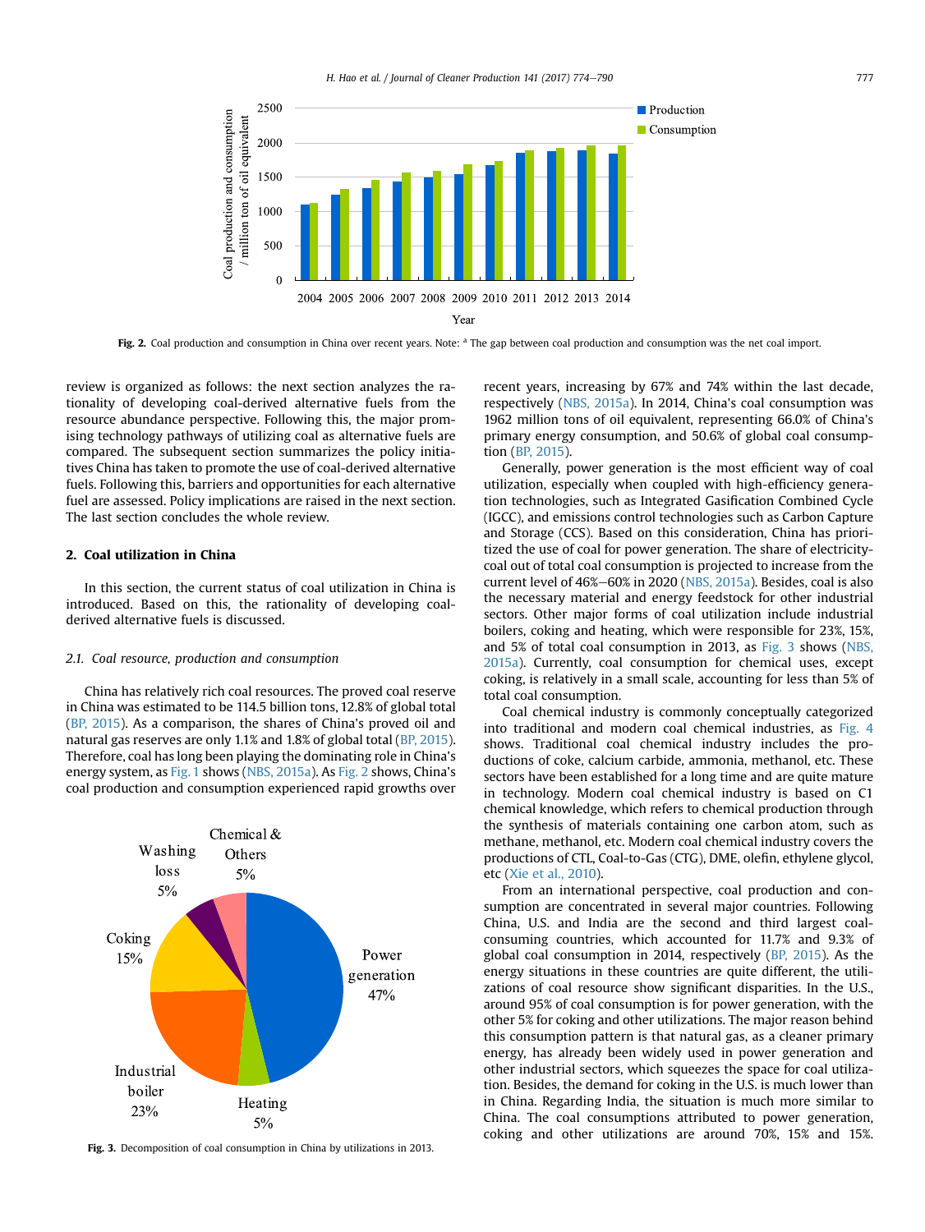

Fig. 2. Coal production and consumption in China over recent years. Note: <sup>a</sup> The gap between coal production and consumption was the net coal import.

review is organized as follows: the next section analyzes the rationality of developing coal-derived alternative fuels from the resource abundance perspective. Following this, the major promising technology pathways of utilizing coal as alternative fuels are compared. The subsequent section summarizes the policy initiatives China has taken to promote the use of coal-derived alternative fuels. Following this, barriers and opportunities for each alternative fuel are assessed. Policy implications are raised in the next section. The last section concludes the whole review.

# 2. Coal utilization in China

In this section, the current status of coal utilization in China is introduced. Based on this, the rationality of developing coalderived alternative fuels is discussed.

#### 2.1. Coal resource, production and consumption

China has relatively rich coal resources. The proved coal reserve in China was estimated to be 114.5 billion tons, 12.8% of global total ([BP, 2015\)](#page-14-0). As a comparison, the shares of China's proved oil and natural gas reserves are only 1.1% and 1.8% of global total ([BP, 2015\)](#page-14-0). Therefore, coal has long been playing the dominating role in China's energy system, as [Fig. 1](#page-2-0) shows [\(NBS, 2015a](#page-15-0)). As Fig. 2 shows, China's coal production and consumption experienced rapid growths over



Fig. 3. Decomposition of coal consumption in China by utilizations in 2013.

recent years, increasing by 67% and 74% within the last decade, respectively ([NBS, 2015a](#page-15-0)). In 2014, China's coal consumption was 1962 million tons of oil equivalent, representing 66.0% of China's primary energy consumption, and 50.6% of global coal consumption [\(BP, 2015\)](#page-14-0).

Generally, power generation is the most efficient way of coal utilization, especially when coupled with high-efficiency generation technologies, such as Integrated Gasification Combined Cycle (IGCC), and emissions control technologies such as Carbon Capture and Storage (CCS). Based on this consideration, China has prioritized the use of coal for power generation. The share of electricitycoal out of total coal consumption is projected to increase from the current level of 46%-60% in 2020 ([NBS, 2015a](#page-15-0)). Besides, coal is also the necessary material and energy feedstock for other industrial sectors. Other major forms of coal utilization include industrial boilers, coking and heating, which were responsible for 23%, 15%, and 5% of total coal consumption in 2013, as Fig. 3 shows [\(NBS,](#page-15-0) [2015a\)](#page-15-0). Currently, coal consumption for chemical uses, except coking, is relatively in a small scale, accounting for less than 5% of total coal consumption.

Coal chemical industry is commonly conceptually categorized into traditional and modern coal chemical industries, as [Fig. 4](#page-4-0) shows. Traditional coal chemical industry includes the productions of coke, calcium carbide, ammonia, methanol, etc. These sectors have been established for a long time and are quite mature in technology. Modern coal chemical industry is based on C1 chemical knowledge, which refers to chemical production through the synthesis of materials containing one carbon atom, such as methane, methanol, etc. Modern coal chemical industry covers the productions of CTL, Coal-to-Gas (CTG), DME, olefin, ethylene glycol, etc [\(Xie et al., 2010\)](#page-16-0).

From an international perspective, coal production and consumption are concentrated in several major countries. Following China, U.S. and India are the second and third largest coalconsuming countries, which accounted for 11.7% and 9.3% of global coal consumption in 2014, respectively ([BP, 2015](#page-14-0)). As the energy situations in these countries are quite different, the utilizations of coal resource show significant disparities. In the U.S., around 95% of coal consumption is for power generation, with the other 5% for coking and other utilizations. The major reason behind this consumption pattern is that natural gas, as a cleaner primary energy, has already been widely used in power generation and other industrial sectors, which squeezes the space for coal utilization. Besides, the demand for coking in the U.S. is much lower than in China. Regarding India, the situation is much more similar to China. The coal consumptions attributed to power generation, coking and other utilizations are around 70%, 15% and 15%.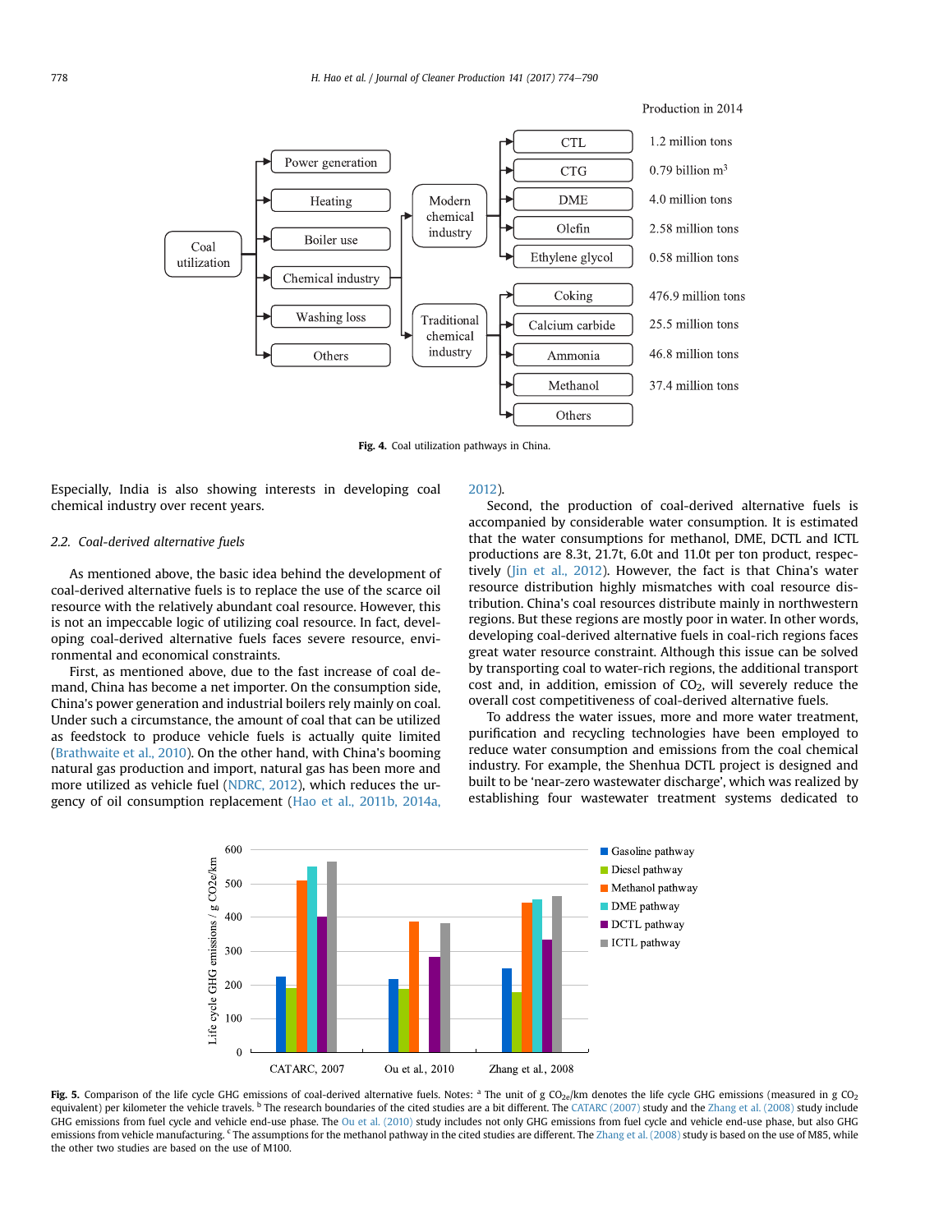<span id="page-4-0"></span>

Fig. 4. Coal utilization pathways in China.

Especially, India is also showing interests in developing coal chemical industry over recent years.

# 2.2. Coal-derived alternative fuels

As mentioned above, the basic idea behind the development of coal-derived alternative fuels is to replace the use of the scarce oil resource with the relatively abundant coal resource. However, this is not an impeccable logic of utilizing coal resource. In fact, developing coal-derived alternative fuels faces severe resource, environmental and economical constraints.

First, as mentioned above, due to the fast increase of coal demand, China has become a net importer. On the consumption side, China's power generation and industrial boilers rely mainly on coal. Under such a circumstance, the amount of coal that can be utilized as feedstock to produce vehicle fuels is actually quite limited ([Brathwaite et al., 2010](#page-14-0)). On the other hand, with China's booming natural gas production and import, natural gas has been more and more utilized as vehicle fuel ([NDRC, 2012\)](#page-15-0), which reduces the urgency of oil consumption replacement ([Hao et al., 2011b, 2014a,](#page-14-0)

#### [2012](#page-14-0)).

Second, the production of coal-derived alternative fuels is accompanied by considerable water consumption. It is estimated that the water consumptions for methanol, DME, DCTL and ICTL productions are 8.3t, 21.7t, 6.0t and 11.0t per ton product, respectively ([Jin et al., 2012\)](#page-15-0). However, the fact is that China's water resource distribution highly mismatches with coal resource distribution. China's coal resources distribute mainly in northwestern regions. But these regions are mostly poor in water. In other words, developing coal-derived alternative fuels in coal-rich regions faces great water resource constraint. Although this issue can be solved by transporting coal to water-rich regions, the additional transport cost and, in addition, emission of  $CO<sub>2</sub>$ , will severely reduce the overall cost competitiveness of coal-derived alternative fuels.

To address the water issues, more and more water treatment, purification and recycling technologies have been employed to reduce water consumption and emissions from the coal chemical industry. For example, the Shenhua DCTL project is designed and built to be 'near-zero wastewater discharge', which was realized by establishing four wastewater treatment systems dedicated to



Fig. 5. Comparison of the life cycle GHG emissions of coal-derived alternative fuels. Notes: <sup>a</sup> The unit of g CO<sub>2e</sub>/km denotes the life cycle GHG emissions (measured in g CO<sub>2</sub> equivalent) per kilometer the vehicle travels. <sup>b</sup> The research boundaries of the cited studies are a bit different. The [CATARC \(2007\)](#page-14-0) study and the [Zhang et al. \(2008\)](#page-16-0) study include GHG emissions from fuel cycle and vehicle end-use phase. The [Ou et al. \(2010\)](#page-15-0) study includes not only GHG emissions from fuel cycle and vehicle end-use phase, but also GHG emissions from vehicle manufacturing. <sup>c</sup> The assumptions for the methanol pathway in the cited studies are different. The [Zhang et al. \(2008\)](#page-16-0) study is based on the use of M85, while the other two studies are based on the use of M100.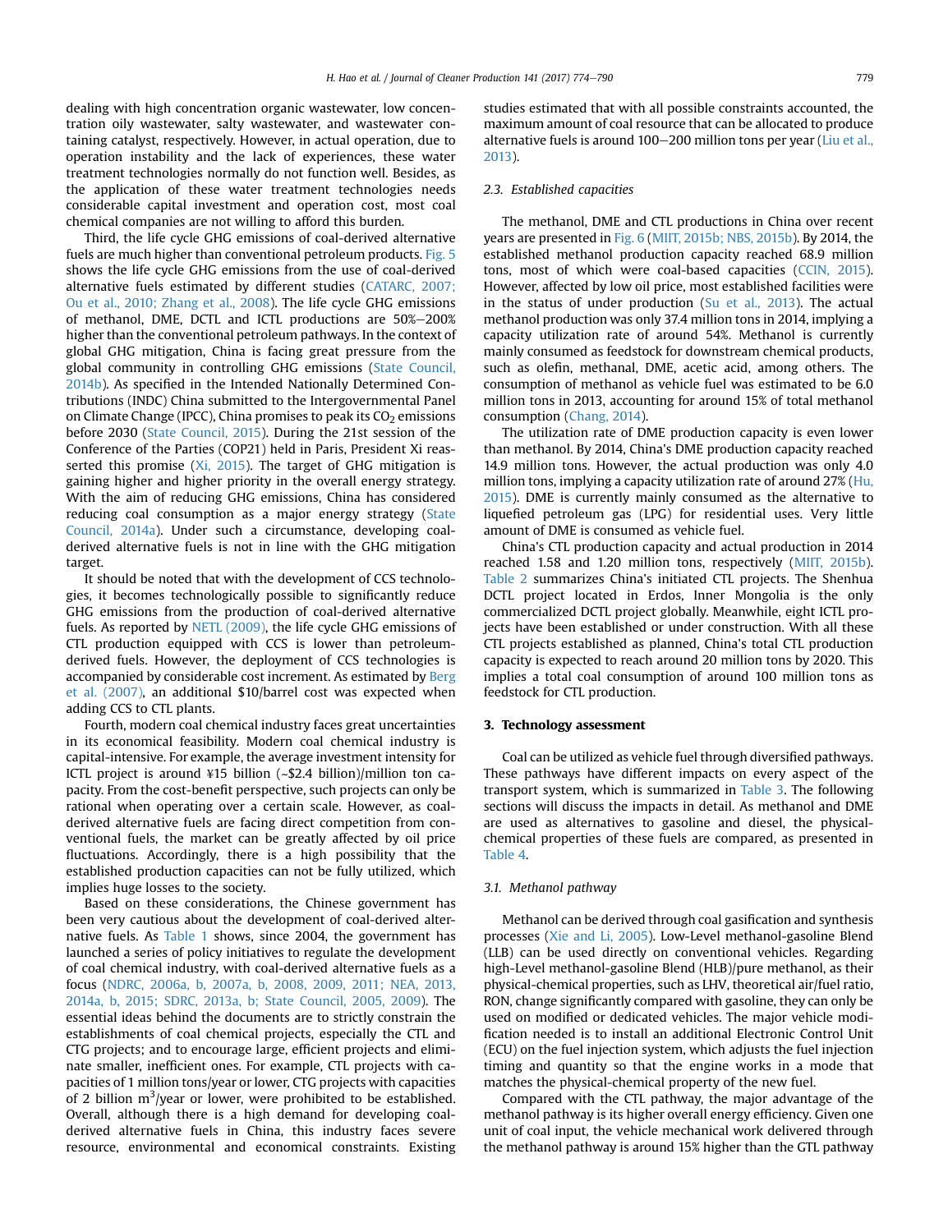dealing with high concentration organic wastewater, low concentration oily wastewater, salty wastewater, and wastewater containing catalyst, respectively. However, in actual operation, due to operation instability and the lack of experiences, these water treatment technologies normally do not function well. Besides, as the application of these water treatment technologies needs considerable capital investment and operation cost, most coal chemical companies are not willing to afford this burden.

Third, the life cycle GHG emissions of coal-derived alternative fuels are much higher than conventional petroleum products. [Fig. 5](#page-4-0) shows the life cycle GHG emissions from the use of coal-derived alternative fuels estimated by different studies ([CATARC, 2007;](#page-14-0) [Ou et al., 2010; Zhang et al., 2008\)](#page-14-0). The life cycle GHG emissions of methanol, DME, DCTL and ICTL productions are 50%-200% higher than the conventional petroleum pathways. In the context of global GHG mitigation, China is facing great pressure from the global community in controlling GHG emissions ([State Council,](#page-16-0) [2014b](#page-16-0)). As specified in the Intended Nationally Determined Contributions (INDC) China submitted to the Intergovernmental Panel on Climate Change (IPCC), China promises to peak its  $CO<sub>2</sub>$  emissions before 2030 ([State Council, 2015](#page-16-0)). During the 21st session of the Conference of the Parties (COP21) held in Paris, President Xi reasserted this promise ( $Xi$ , 2015). The target of GHG mitigation is gaining higher and higher priority in the overall energy strategy. With the aim of reducing GHG emissions, China has considered reducing coal consumption as a major energy strategy ([State](#page-16-0) [Council, 2014a](#page-16-0)). Under such a circumstance, developing coalderived alternative fuels is not in line with the GHG mitigation target.

It should be noted that with the development of CCS technologies, it becomes technologically possible to significantly reduce GHG emissions from the production of coal-derived alternative fuels. As reported by [NETL \(2009\),](#page-15-0) the life cycle GHG emissions of CTL production equipped with CCS is lower than petroleumderived fuels. However, the deployment of CCS technologies is accompanied by considerable cost increment. As estimated by [Berg](#page-14-0) [et al. \(2007\),](#page-14-0) an additional \$10/barrel cost was expected when adding CCS to CTL plants.

Fourth, modern coal chemical industry faces great uncertainties in its economical feasibility. Modern coal chemical industry is capital-intensive. For example, the average investment intensity for ICTL project is around ¥15 billion (~\$2.4 billion)/million ton capacity. From the cost-benefit perspective, such projects can only be rational when operating over a certain scale. However, as coalderived alternative fuels are facing direct competition from conventional fuels, the market can be greatly affected by oil price fluctuations. Accordingly, there is a high possibility that the established production capacities can not be fully utilized, which implies huge losses to the society.

Based on these considerations, the Chinese government has been very cautious about the development of coal-derived alternative fuels. As [Table 1](#page-6-0) shows, since 2004, the government has launched a series of policy initiatives to regulate the development of coal chemical industry, with coal-derived alternative fuels as a focus [\(NDRC, 2006a, b, 2007a, b, 2008, 2009, 2011; NEA, 2013,](#page-15-0) [2014a, b, 2015; SDRC, 2013a, b; State Council, 2005, 2009](#page-15-0)). The essential ideas behind the documents are to strictly constrain the establishments of coal chemical projects, especially the CTL and CTG projects; and to encourage large, efficient projects and eliminate smaller, inefficient ones. For example, CTL projects with capacities of 1 million tons/year or lower, CTG projects with capacities of 2 billion  $m^3$ /year or lower, were prohibited to be established. Overall, although there is a high demand for developing coalderived alternative fuels in China, this industry faces severe resource, environmental and economical constraints. Existing studies estimated that with all possible constraints accounted, the maximum amount of coal resource that can be allocated to produce alternative fuels is around 100-200 million tons per year ([Liu et al.,](#page-15-0) [2013\)](#page-15-0).

## 2.3. Established capacities

The methanol, DME and CTL productions in China over recent years are presented in [Fig. 6](#page-7-0) [\(MIIT, 2015b; NBS, 2015b](#page-15-0)). By 2014, the established methanol production capacity reached 68.9 million tons, most of which were coal-based capacities [\(CCIN, 2015\)](#page-14-0). However, affected by low oil price, most established facilities were in the status of under production ( $Su$  et al., 2013). The actual methanol production was only 37.4 million tons in 2014, implying a capacity utilization rate of around 54%. Methanol is currently mainly consumed as feedstock for downstream chemical products, such as olefin, methanal, DME, acetic acid, among others. The consumption of methanol as vehicle fuel was estimated to be 6.0 million tons in 2013, accounting for around 15% of total methanol consumption ([Chang, 2014\)](#page-14-0).

The utilization rate of DME production capacity is even lower than methanol. By 2014, China's DME production capacity reached 14.9 million tons. However, the actual production was only 4.0 million tons, implying a capacity utilization rate of around 27% ([Hu,](#page-15-0) [2015\)](#page-15-0). DME is currently mainly consumed as the alternative to liquefied petroleum gas (LPG) for residential uses. Very little amount of DME is consumed as vehicle fuel.

China's CTL production capacity and actual production in 2014 reached 1.58 and 1.20 million tons, respectively ([MIIT, 2015b\)](#page-15-0). [Table 2](#page-7-0) summarizes China's initiated CTL projects. The Shenhua DCTL project located in Erdos, Inner Mongolia is the only commercialized DCTL project globally. Meanwhile, eight ICTL projects have been established or under construction. With all these CTL projects established as planned, China's total CTL production capacity is expected to reach around 20 million tons by 2020. This implies a total coal consumption of around 100 million tons as feedstock for CTL production.

#### 3. Technology assessment

Coal can be utilized as vehicle fuel through diversified pathways. These pathways have different impacts on every aspect of the transport system, which is summarized in [Table 3.](#page-8-0) The following sections will discuss the impacts in detail. As methanol and DME are used as alternatives to gasoline and diesel, the physicalchemical properties of these fuels are compared, as presented in [Table 4.](#page-9-0)

#### 3.1. Methanol pathway

Methanol can be derived through coal gasification and synthesis processes ([Xie and Li, 2005](#page-16-0)). Low-Level methanol-gasoline Blend (LLB) can be used directly on conventional vehicles. Regarding high-Level methanol-gasoline Blend (HLB)/pure methanol, as their physical-chemical properties, such as LHV, theoretical air/fuel ratio, RON, change significantly compared with gasoline, they can only be used on modified or dedicated vehicles. The major vehicle modification needed is to install an additional Electronic Control Unit (ECU) on the fuel injection system, which adjusts the fuel injection timing and quantity so that the engine works in a mode that matches the physical-chemical property of the new fuel.

Compared with the CTL pathway, the major advantage of the methanol pathway is its higher overall energy efficiency. Given one unit of coal input, the vehicle mechanical work delivered through the methanol pathway is around 15% higher than the GTL pathway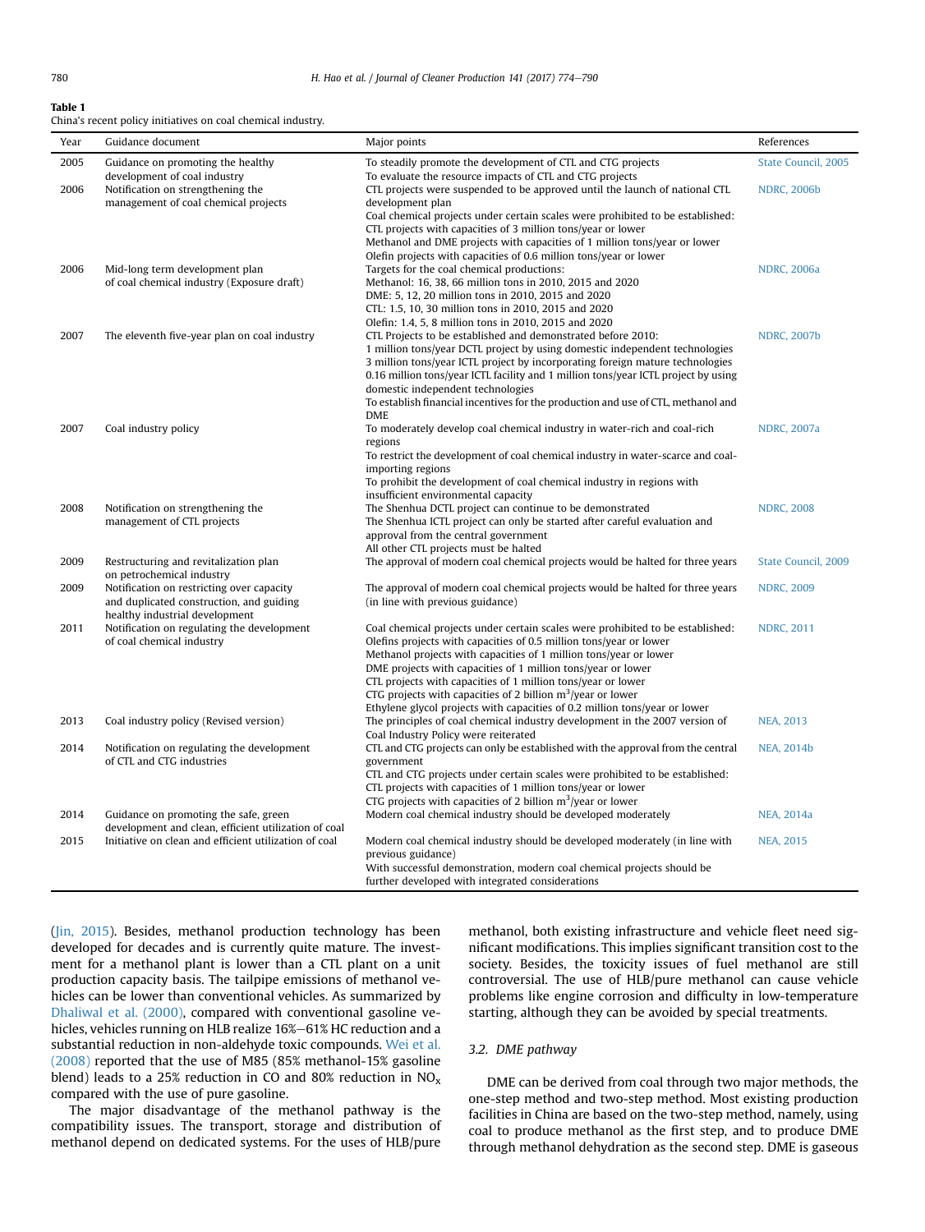<span id="page-6-0"></span>China's recent policy initiatives on coal chemical industry.

| Year | Guidance document                                                                                                       | Major points                                                                                                                                                                                                                                                                                                                                                                                                                                                                                              | References          |
|------|-------------------------------------------------------------------------------------------------------------------------|-----------------------------------------------------------------------------------------------------------------------------------------------------------------------------------------------------------------------------------------------------------------------------------------------------------------------------------------------------------------------------------------------------------------------------------------------------------------------------------------------------------|---------------------|
| 2005 | Guidance on promoting the healthy                                                                                       | To steadily promote the development of CTL and CTG projects                                                                                                                                                                                                                                                                                                                                                                                                                                               | State Council, 2005 |
| 2006 | development of coal industry<br>Notification on strengthening the<br>management of coal chemical projects               | To evaluate the resource impacts of CTL and CTG projects<br>CTL projects were suspended to be approved until the launch of national CTL<br>development plan                                                                                                                                                                                                                                                                                                                                               | <b>NDRC, 2006b</b>  |
|      |                                                                                                                         | Coal chemical projects under certain scales were prohibited to be established:<br>CTL projects with capacities of 3 million tons/year or lower<br>Methanol and DME projects with capacities of 1 million tons/year or lower<br>Olefin projects with capacities of 0.6 million tons/year or lower                                                                                                                                                                                                          |                     |
| 2006 | Mid-long term development plan<br>of coal chemical industry (Exposure draft)                                            | Targets for the coal chemical productions:<br>Methanol: 16, 38, 66 million tons in 2010, 2015 and 2020<br>DME: 5, 12, 20 million tons in 2010, 2015 and 2020<br>CTL: 1.5, 10, 30 million tons in 2010, 2015 and 2020<br>Olefin: 1.4, 5, 8 million tons in 2010, 2015 and 2020                                                                                                                                                                                                                             | <b>NDRC, 2006a</b>  |
| 2007 | The eleventh five-year plan on coal industry                                                                            | CTL Projects to be established and demonstrated before 2010:<br>1 million tons/year DCTL project by using domestic independent technologies<br>3 million tons/year ICTL project by incorporating foreign mature technologies<br>0.16 million tons/year ICTL facility and 1 million tons/year ICTL project by using<br>domestic independent technologies                                                                                                                                                   | <b>NDRC, 2007b</b>  |
| 2007 | Coal industry policy                                                                                                    | To establish financial incentives for the production and use of CTL, methanol and<br><b>DME</b><br>To moderately develop coal chemical industry in water-rich and coal-rich<br>regions<br>To restrict the development of coal chemical industry in water-scarce and coal-<br>importing regions<br>To prohibit the development of coal chemical industry in regions with                                                                                                                                   | <b>NDRC, 2007a</b>  |
| 2008 | Notification on strengthening the<br>management of CTL projects                                                         | insufficient environmental capacity<br>The Shenhua DCTL project can continue to be demonstrated<br>The Shenhua ICTL project can only be started after careful evaluation and<br>approval from the central government<br>All other CTL projects must be halted                                                                                                                                                                                                                                             | <b>NDRC, 2008</b>   |
| 2009 | Restructuring and revitalization plan<br>on petrochemical industry                                                      | The approval of modern coal chemical projects would be halted for three years                                                                                                                                                                                                                                                                                                                                                                                                                             | State Council, 2009 |
| 2009 | Notification on restricting over capacity<br>and duplicated construction, and guiding<br>healthy industrial development | The approval of modern coal chemical projects would be halted for three years<br>(in line with previous guidance)                                                                                                                                                                                                                                                                                                                                                                                         | <b>NDRC, 2009</b>   |
| 2011 | Notification on regulating the development<br>of coal chemical industry                                                 | Coal chemical projects under certain scales were prohibited to be established:<br>Olefins projects with capacities of 0.5 million tons/year or lower<br>Methanol projects with capacities of 1 million tons/year or lower<br>DME projects with capacities of 1 million tons/year or lower<br>CTL projects with capacities of 1 million tons/year or lower<br>CTG projects with capacities of 2 billion $m^3$ /year or lower<br>Ethylene glycol projects with capacities of 0.2 million tons/year or lower | <b>NDRC, 2011</b>   |
| 2013 | Coal industry policy (Revised version)                                                                                  | The principles of coal chemical industry development in the 2007 version of<br>Coal Industry Policy were reiterated                                                                                                                                                                                                                                                                                                                                                                                       | <b>NEA, 2013</b>    |
| 2014 | Notification on regulating the development<br>of CTL and CTG industries                                                 | CTL and CTG projects can only be established with the approval from the central<br>government<br>CTL and CTG projects under certain scales were prohibited to be established:<br>CTL projects with capacities of 1 million tons/year or lower<br>CTG projects with capacities of 2 billion $m^3$ /year or lower                                                                                                                                                                                           | <b>NEA, 2014b</b>   |
| 2014 | Guidance on promoting the safe, green<br>development and clean, efficient utilization of coal                           | Modern coal chemical industry should be developed moderately                                                                                                                                                                                                                                                                                                                                                                                                                                              | <b>NEA, 2014a</b>   |
| 2015 | Initiative on clean and efficient utilization of coal                                                                   | Modern coal chemical industry should be developed moderately (in line with<br>previous guidance)<br>With successful demonstration, modern coal chemical projects should be<br>further developed with integrated considerations                                                                                                                                                                                                                                                                            | <b>NEA, 2015</b>    |

([Jin, 2015](#page-15-0)). Besides, methanol production technology has been developed for decades and is currently quite mature. The investment for a methanol plant is lower than a CTL plant on a unit production capacity basis. The tailpipe emissions of methanol vehicles can be lower than conventional vehicles. As summarized by [Dhaliwal et al. \(2000\),](#page-14-0) compared with conventional gasoline vehicles, vehicles running on HLB realize 16%-61% HC reduction and a substantial reduction in non-aldehyde toxic compounds. [Wei et al.](#page-16-0) [\(2008\)](#page-16-0) reported that the use of M85 (85% methanol-15% gasoline blend) leads to a 25% reduction in CO and 80% reduction in  $NO<sub>x</sub>$ compared with the use of pure gasoline.

The major disadvantage of the methanol pathway is the compatibility issues. The transport, storage and distribution of methanol depend on dedicated systems. For the uses of HLB/pure methanol, both existing infrastructure and vehicle fleet need significant modifications. This implies significant transition cost to the society. Besides, the toxicity issues of fuel methanol are still controversial. The use of HLB/pure methanol can cause vehicle problems like engine corrosion and difficulty in low-temperature starting, although they can be avoided by special treatments.

#### 3.2. DME pathway

DME can be derived from coal through two major methods, the one-step method and two-step method. Most existing production facilities in China are based on the two-step method, namely, using coal to produce methanol as the first step, and to produce DME through methanol dehydration as the second step. DME is gaseous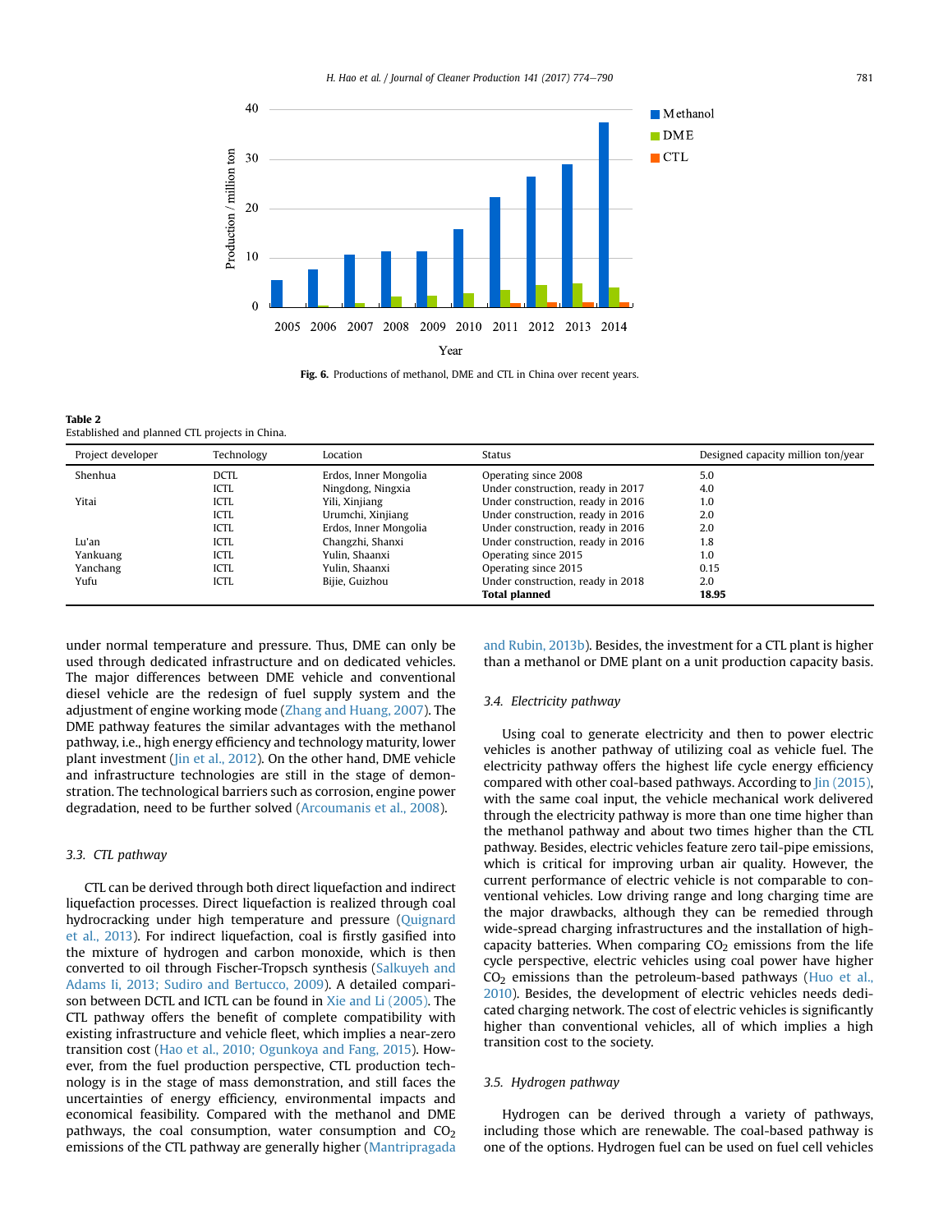<span id="page-7-0"></span>

Fig. 6. Productions of methanol, DME and CTL in China over recent years.

| Table 2                                        |
|------------------------------------------------|
| Established and planned CTL projects in China. |

| Project developer | Technology  | Location              | Status                            | Designed capacity million ton/year |
|-------------------|-------------|-----------------------|-----------------------------------|------------------------------------|
| Shenhua           | DCTL        | Erdos, Inner Mongolia | Operating since 2008              | 5.0                                |
|                   | <b>ICTL</b> | Ningdong, Ningxia     | Under construction, ready in 2017 | 4.0                                |
| Yitai             | ICTL        | Yili, Xinjiang        | Under construction, ready in 2016 | 1.0                                |
|                   | ICTL        | Urumchi, Xinjiang     | Under construction, ready in 2016 | 2.0                                |
|                   | ICTL        | Erdos, Inner Mongolia | Under construction, ready in 2016 | 2.0                                |
| Lu'an             | ICTL        | Changzhi, Shanxi      | Under construction, ready in 2016 | 1.8                                |
| Yankuang          | ICTL        | Yulin, Shaanxi        | Operating since 2015              | 1.0                                |
| Yanchang          | ICTL        | Yulin, Shaanxi        | Operating since 2015              | 0.15                               |
| Yufu              | ICTL        | Bijie, Guizhou        | Under construction, ready in 2018 | 2.0                                |
|                   |             |                       | <b>Total planned</b>              | 18.95                              |

under normal temperature and pressure. Thus, DME can only be used through dedicated infrastructure and on dedicated vehicles. The major differences between DME vehicle and conventional diesel vehicle are the redesign of fuel supply system and the adjustment of engine working mode ([Zhang and Huang, 2007\)](#page-16-0). The DME pathway features the similar advantages with the methanol pathway, i.e., high energy efficiency and technology maturity, lower plant investment [\(Jin et al., 2012](#page-15-0)). On the other hand, DME vehicle and infrastructure technologies are still in the stage of demonstration. The technological barriers such as corrosion, engine power degradation, need to be further solved ([Arcoumanis et al., 2008](#page-14-0)).

# 3.3. CTL pathway

CTL can be derived through both direct liquefaction and indirect liquefaction processes. Direct liquefaction is realized through coal hydrocracking under high temperature and pressure [\(Quignard](#page-15-0) [et al., 2013\)](#page-15-0). For indirect liquefaction, coal is firstly gasified into the mixture of hydrogen and carbon monoxide, which is then converted to oil through Fischer-Tropsch synthesis [\(Salkuyeh and](#page-15-0) [Adams Ii, 2013; Sudiro and Bertucco, 2009\)](#page-15-0). A detailed comparison between DCTL and ICTL can be found in [Xie and Li \(2005\).](#page-16-0) The CTL pathway offers the benefit of complete compatibility with existing infrastructure and vehicle fleet, which implies a near-zero transition cost ([Hao et al., 2010; Ogunkoya and Fang, 2015\)](#page-14-0). However, from the fuel production perspective, CTL production technology is in the stage of mass demonstration, and still faces the uncertainties of energy efficiency, environmental impacts and economical feasibility. Compared with the methanol and DME pathways, the coal consumption, water consumption and  $CO<sub>2</sub>$ emissions of the CTL pathway are generally higher ([Mantripragada](#page-15-0) [and Rubin, 2013b](#page-15-0)). Besides, the investment for a CTL plant is higher than a methanol or DME plant on a unit production capacity basis.

#### 3.4. Electricity pathway

Using coal to generate electricity and then to power electric vehicles is another pathway of utilizing coal as vehicle fuel. The electricity pathway offers the highest life cycle energy efficiency compared with other coal-based pathways. According to [Jin \(2015\),](#page-15-0) with the same coal input, the vehicle mechanical work delivered through the electricity pathway is more than one time higher than the methanol pathway and about two times higher than the CTL pathway. Besides, electric vehicles feature zero tail-pipe emissions, which is critical for improving urban air quality. However, the current performance of electric vehicle is not comparable to conventional vehicles. Low driving range and long charging time are the major drawbacks, although they can be remedied through wide-spread charging infrastructures and the installation of highcapacity batteries. When comparing  $CO<sub>2</sub>$  emissions from the life cycle perspective, electric vehicles using coal power have higher  $CO<sub>2</sub>$  emissions than the petroleum-based pathways ([Huo et al.,](#page-15-0) [2010\)](#page-15-0). Besides, the development of electric vehicles needs dedicated charging network. The cost of electric vehicles is significantly higher than conventional vehicles, all of which implies a high transition cost to the society.

#### 3.5. Hydrogen pathway

Hydrogen can be derived through a variety of pathways, including those which are renewable. The coal-based pathway is one of the options. Hydrogen fuel can be used on fuel cell vehicles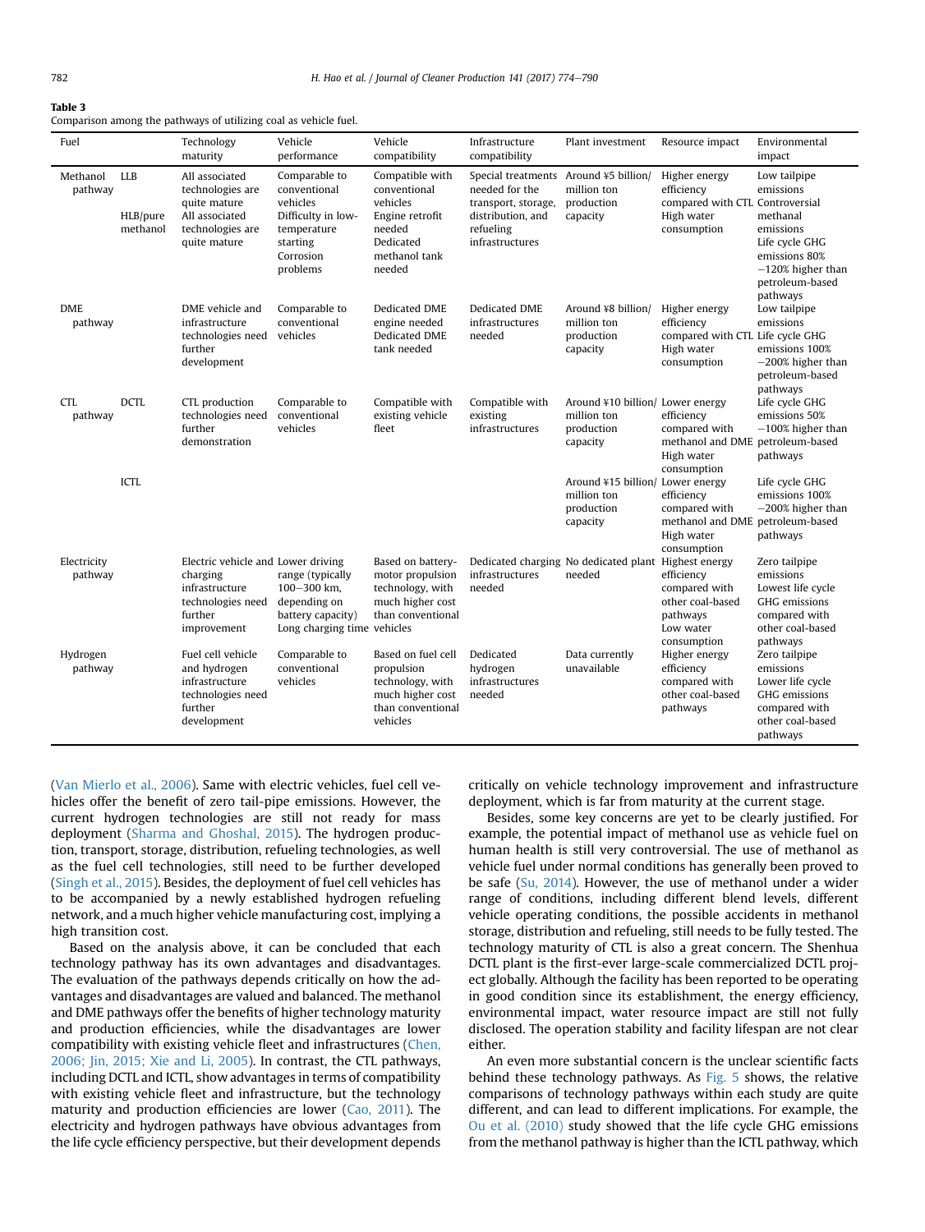<span id="page-8-0"></span>

| Comparison among the pathways of utilizing coal as vehicle fuel. |  |  |
|------------------------------------------------------------------|--|--|
|------------------------------------------------------------------|--|--|

| Fuel                   |                                    | Technology<br>maturity                                                                                          | Vehicle<br>performance                                                                                              | Vehicle<br>compatibility                                                                                         | Infrastructure<br>compatibility                                                                                  | Plant investment                                                          | Resource impact                                                                              | Environmental<br>impact                                                                                                                      |
|------------------------|------------------------------------|-----------------------------------------------------------------------------------------------------------------|---------------------------------------------------------------------------------------------------------------------|------------------------------------------------------------------------------------------------------------------|------------------------------------------------------------------------------------------------------------------|---------------------------------------------------------------------------|----------------------------------------------------------------------------------------------|----------------------------------------------------------------------------------------------------------------------------------------------|
| Methanol<br>pathway    | <b>LLB</b><br>HLB/pure<br>methanol | All associated<br>technologies are<br>quite mature<br>All associated<br>technologies are<br>quite mature        | Comparable to<br>conventional<br>vehicles<br>Difficulty in low-<br>temperature<br>starting<br>Corrosion<br>problems | Compatible with<br>conventional<br>vehicles<br>Engine retrofit<br>needed<br>Dedicated<br>methanol tank<br>needed | Special treatments<br>needed for the<br>transport, storage,<br>distribution, and<br>refueling<br>infrastructures | Around ¥5 billion/<br>million ton<br>production<br>capacity               | Higher energy<br>efficiency<br>compared with CTL Controversial<br>High water<br>consumption  | Low tailpipe<br>emissions<br>methanal<br>emissions<br>Life cycle GHG<br>emissions 80%<br>$-120\%$ higher than<br>petroleum-based<br>pathways |
| <b>DME</b><br>pathway  |                                    | DME vehicle and<br>infrastructure<br>technologies need<br>further<br>development                                | Comparable to<br>conventional<br>vehicles                                                                           | Dedicated DME<br>engine needed<br>Dedicated DME<br>tank needed                                                   | Dedicated DME<br>infrastructures<br>needed                                                                       | Around ¥8 billion/<br>million ton<br>production<br>capacity               | Higher energy<br>efficiency<br>compared with CTL Life cycle GHG<br>High water<br>consumption | Low tailpipe<br>emissions<br>emissions 100%<br>$-200\%$ higher than<br>petroleum-based<br>pathways                                           |
| <b>CTL</b><br>pathway  | <b>DCTL</b>                        | CTL production<br>technologies need<br>further<br>demonstration                                                 | Comparable to<br>conventional<br>vehicles                                                                           | Compatible with<br>existing vehicle<br>fleet                                                                     | Compatible with<br>existing<br>infrastructures                                                                   | Around ¥10 billion/ Lower energy<br>million ton<br>production<br>capacity | efficiency<br>compared with<br>methanol and DME<br>High water<br>consumption                 | Life cycle GHG<br>emissions 50%<br>$-100\%$ higher than<br>petroleum-based<br>pathways                                                       |
|                        | ICTL                               |                                                                                                                 |                                                                                                                     |                                                                                                                  |                                                                                                                  | Around ¥15 billion/ Lower energy<br>million ton<br>production<br>capacity | efficiency<br>compared with<br>methanol and DME petroleum-based<br>High water<br>consumption | Life cycle GHG<br>emissions 100%<br>$-200\%$ higher than<br>pathways                                                                         |
| Electricity<br>pathway |                                    | Electric vehicle and Lower driving<br>charging<br>infrastructure<br>technologies need<br>further<br>improvement | range (typically<br>100-300 km,<br>depending on<br>battery capacity)<br>Long charging time vehicles                 | Based on battery-<br>motor propulsion<br>technology, with<br>much higher cost<br>than conventional               | infrastructures<br>needed                                                                                        | Dedicated charging No dedicated plant Highest energy<br>needed            | efficiency<br>compared with<br>other coal-based<br>pathways<br>Low water<br>consumption      | Zero tailpipe<br>emissions<br>Lowest life cycle<br>GHG emissions<br>compared with<br>other coal-based<br>pathways                            |
| Hydrogen<br>pathway    |                                    | Fuel cell vehicle<br>and hydrogen<br>infrastructure<br>technologies need<br>further<br>development              | Comparable to<br>conventional<br>vehicles                                                                           | Based on fuel cell<br>propulsion<br>technology, with<br>much higher cost<br>than conventional<br>vehicles        | Dedicated<br>hydrogen<br>infrastructures<br>needed                                                               | Data currently<br>unavailable                                             | Higher energy<br>efficiency<br>compared with<br>other coal-based<br>pathways                 | Zero tailpipe<br>emissions<br>Lower life cycle<br>GHG emissions<br>compared with<br>other coal-based<br>pathways                             |

([Van Mierlo et al., 2006](#page-16-0)). Same with electric vehicles, fuel cell vehicles offer the benefit of zero tail-pipe emissions. However, the current hydrogen technologies are still not ready for mass deployment ([Sharma and Ghoshal, 2015](#page-15-0)). The hydrogen production, transport, storage, distribution, refueling technologies, as well as the fuel cell technologies, still need to be further developed ([Singh et al., 2015\)](#page-16-0). Besides, the deployment of fuel cell vehicles has to be accompanied by a newly established hydrogen refueling network, and a much higher vehicle manufacturing cost, implying a high transition cost.

Based on the analysis above, it can be concluded that each technology pathway has its own advantages and disadvantages. The evaluation of the pathways depends critically on how the advantages and disadvantages are valued and balanced. The methanol and DME pathways offer the benefits of higher technology maturity and production efficiencies, while the disadvantages are lower compatibility with existing vehicle fleet and infrastructures ([Chen,](#page-14-0) [2006; Jin, 2015; Xie and Li, 2005\)](#page-14-0). In contrast, the CTL pathways, including DCTL and ICTL, show advantages in terms of compatibility with existing vehicle fleet and infrastructure, but the technology maturity and production efficiencies are lower ([Cao, 2011](#page-14-0)). The electricity and hydrogen pathways have obvious advantages from the life cycle efficiency perspective, but their development depends critically on vehicle technology improvement and infrastructure deployment, which is far from maturity at the current stage.

Besides, some key concerns are yet to be clearly justified. For example, the potential impact of methanol use as vehicle fuel on human health is still very controversial. The use of methanol as vehicle fuel under normal conditions has generally been proved to be safe [\(Su, 2014](#page-16-0)). However, the use of methanol under a wider range of conditions, including different blend levels, different vehicle operating conditions, the possible accidents in methanol storage, distribution and refueling, still needs to be fully tested. The technology maturity of CTL is also a great concern. The Shenhua DCTL plant is the first-ever large-scale commercialized DCTL project globally. Although the facility has been reported to be operating in good condition since its establishment, the energy efficiency, environmental impact, water resource impact are still not fully disclosed. The operation stability and facility lifespan are not clear either.

An even more substantial concern is the unclear scientific facts behind these technology pathways. As [Fig. 5](#page-4-0) shows, the relative comparisons of technology pathways within each study are quite different, and can lead to different implications. For example, the [Ou et al. \(2010\)](#page-15-0) study showed that the life cycle GHG emissions from the methanol pathway is higher than the ICTL pathway, which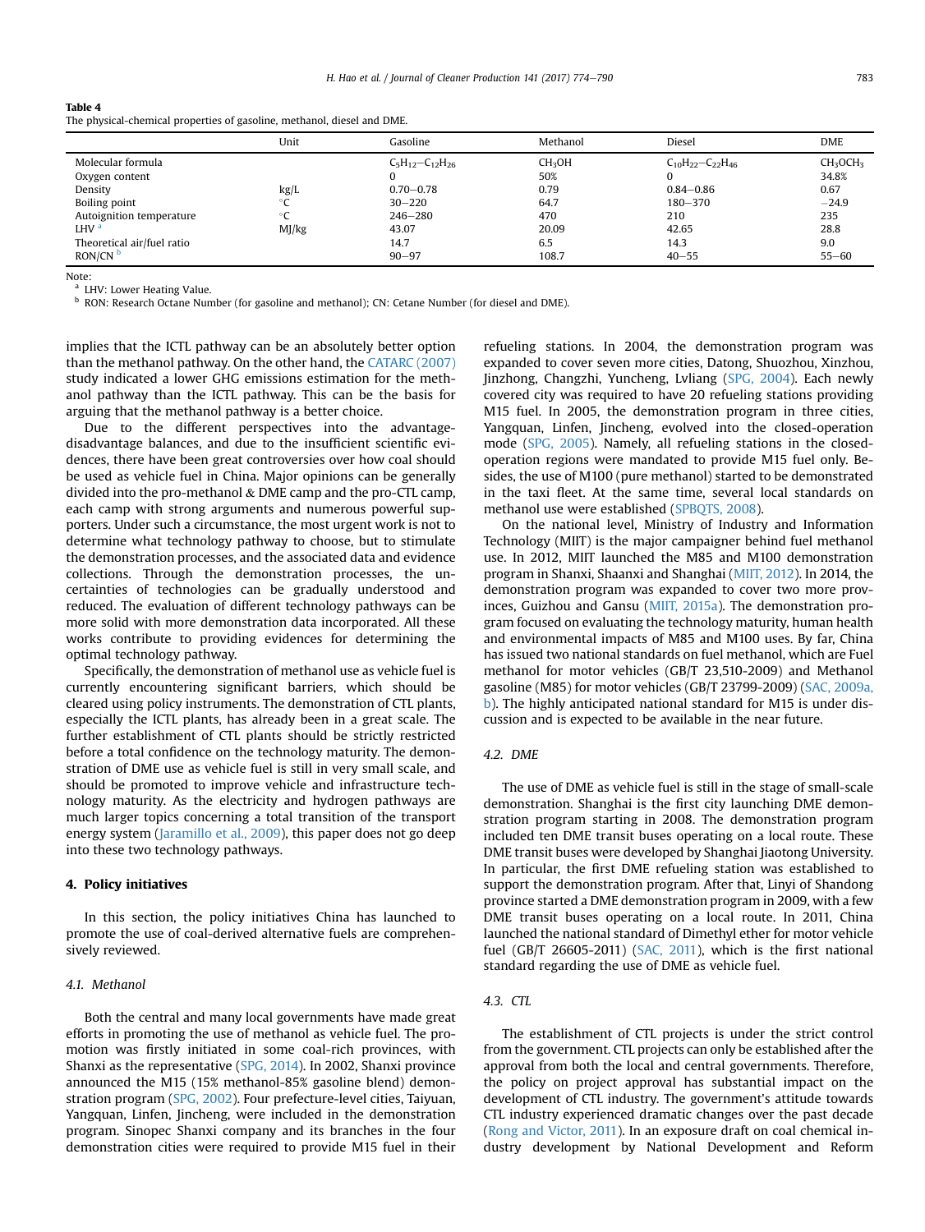<span id="page-9-0"></span>

| The physical-chemical properties of gasoline, methanol, diesel and DME. |       |                          |                    |                             |                                  |  |  |  |
|-------------------------------------------------------------------------|-------|--------------------------|--------------------|-----------------------------|----------------------------------|--|--|--|
|                                                                         | Unit  | Gasoline                 | Methanol           | Diesel                      | <b>DME</b>                       |  |  |  |
| Molecular formula                                                       |       | $C_5H_{12}-C_{12}H_{26}$ | CH <sub>3</sub> OH | $C_{10}H_{22}-C_{22}H_{46}$ | CH <sub>3</sub> OCH <sub>3</sub> |  |  |  |
| Oxygen content                                                          |       | 0                        | 50%                |                             | 34.8%                            |  |  |  |
| Density                                                                 | kg/L  | $0.70 - 0.78$            | 0.79               | $0.84 - 0.86$               | 0.67                             |  |  |  |
| Boiling point                                                           | °C    | $30 - 220$               | 64.7               | $180 - 370$                 | $-24.9$                          |  |  |  |
| Autoignition temperature                                                | °C    | $246 - 280$              | 470                | 210                         | 235                              |  |  |  |
| LHV <sup>a</sup>                                                        | MI/kg | 43.07                    | 20.09              | 42.65                       | 28.8                             |  |  |  |
| Theoretical air/fuel ratio                                              |       | 14.7                     | 6.5                | 14.3                        | 9.0                              |  |  |  |
| RON/CN <sup>b</sup>                                                     |       | $90 - 97$                | 108.7              | $40 - 55$                   | $55 - 60$                        |  |  |  |

Note: LHV: Lower Heating Value.

<sup>b</sup> RON: Research Octane Number (for gasoline and methanol); CN: Cetane Number (for diesel and DME).

implies that the ICTL pathway can be an absolutely better option than the methanol pathway. On the other hand, the [CATARC \(2007\)](#page-14-0) study indicated a lower GHG emissions estimation for the methanol pathway than the ICTL pathway. This can be the basis for arguing that the methanol pathway is a better choice.

Due to the different perspectives into the advantagedisadvantage balances, and due to the insufficient scientific evidences, there have been great controversies over how coal should be used as vehicle fuel in China. Major opinions can be generally divided into the pro-methanol & DME camp and the pro-CTL camp, each camp with strong arguments and numerous powerful supporters. Under such a circumstance, the most urgent work is not to determine what technology pathway to choose, but to stimulate the demonstration processes, and the associated data and evidence collections. Through the demonstration processes, the uncertainties of technologies can be gradually understood and reduced. The evaluation of different technology pathways can be more solid with more demonstration data incorporated. All these works contribute to providing evidences for determining the optimal technology pathway.

Specifically, the demonstration of methanol use as vehicle fuel is currently encountering significant barriers, which should be cleared using policy instruments. The demonstration of CTL plants, especially the ICTL plants, has already been in a great scale. The further establishment of CTL plants should be strictly restricted before a total confidence on the technology maturity. The demonstration of DME use as vehicle fuel is still in very small scale, and should be promoted to improve vehicle and infrastructure technology maturity. As the electricity and hydrogen pathways are much larger topics concerning a total transition of the transport energy system ([Jaramillo et al., 2009\)](#page-15-0), this paper does not go deep into these two technology pathways.

#### 4. Policy initiatives

In this section, the policy initiatives China has launched to promote the use of coal-derived alternative fuels are comprehensively reviewed.

## 4.1. Methanol

Both the central and many local governments have made great efforts in promoting the use of methanol as vehicle fuel. The promotion was firstly initiated in some coal-rich provinces, with Shanxi as the representative [\(SPG, 2014](#page-16-0)). In 2002, Shanxi province announced the M15 (15% methanol-85% gasoline blend) demonstration program ([SPG, 2002\)](#page-16-0). Four prefecture-level cities, Taiyuan, Yangquan, Linfen, Jincheng, were included in the demonstration program. Sinopec Shanxi company and its branches in the four demonstration cities were required to provide M15 fuel in their

refueling stations. In 2004, the demonstration program was expanded to cover seven more cities, Datong, Shuozhou, Xinzhou, Jinzhong, Changzhi, Yuncheng, Lvliang ([SPG, 2004\)](#page-16-0). Each newly covered city was required to have 20 refueling stations providing M15 fuel. In 2005, the demonstration program in three cities, Yangquan, Linfen, Jincheng, evolved into the closed-operation mode ([SPG, 2005\)](#page-16-0). Namely, all refueling stations in the closedoperation regions were mandated to provide M15 fuel only. Besides, the use of M100 (pure methanol) started to be demonstrated in the taxi fleet. At the same time, several local standards on methanol use were established ([SPBQTS, 2008](#page-16-0)).

On the national level, Ministry of Industry and Information Technology (MIIT) is the major campaigner behind fuel methanol use. In 2012, MIIT launched the M85 and M100 demonstration program in Shanxi, Shaanxi and Shanghai ([MIIT, 2012\)](#page-15-0). In 2014, the demonstration program was expanded to cover two more provinces, Guizhou and Gansu [\(MIIT, 2015a](#page-15-0)). The demonstration program focused on evaluating the technology maturity, human health and environmental impacts of M85 and M100 uses. By far, China has issued two national standards on fuel methanol, which are Fuel methanol for motor vehicles (GB/T 23,510-2009) and Methanol gasoline (M85) for motor vehicles (GB/T 23799-2009) ([SAC, 2009a,](#page-15-0) [b](#page-15-0)). The highly anticipated national standard for M15 is under discussion and is expected to be available in the near future.

#### 4.2. DME

The use of DME as vehicle fuel is still in the stage of small-scale demonstration. Shanghai is the first city launching DME demonstration program starting in 2008. The demonstration program included ten DME transit buses operating on a local route. These DME transit buses were developed by Shanghai Jiaotong University. In particular, the first DME refueling station was established to support the demonstration program. After that, Linyi of Shandong province started a DME demonstration program in 2009, with a few DME transit buses operating on a local route. In 2011, China launched the national standard of Dimethyl ether for motor vehicle fuel (GB/T 26605-2011) ([SAC, 2011\)](#page-15-0), which is the first national standard regarding the use of DME as vehicle fuel.

# 4.3. CTL

The establishment of CTL projects is under the strict control from the government. CTL projects can only be established after the approval from both the local and central governments. Therefore, the policy on project approval has substantial impact on the development of CTL industry. The government's attitude towards CTL industry experienced dramatic changes over the past decade ([Rong and Victor, 2011\)](#page-15-0). In an exposure draft on coal chemical industry development by National Development and Reform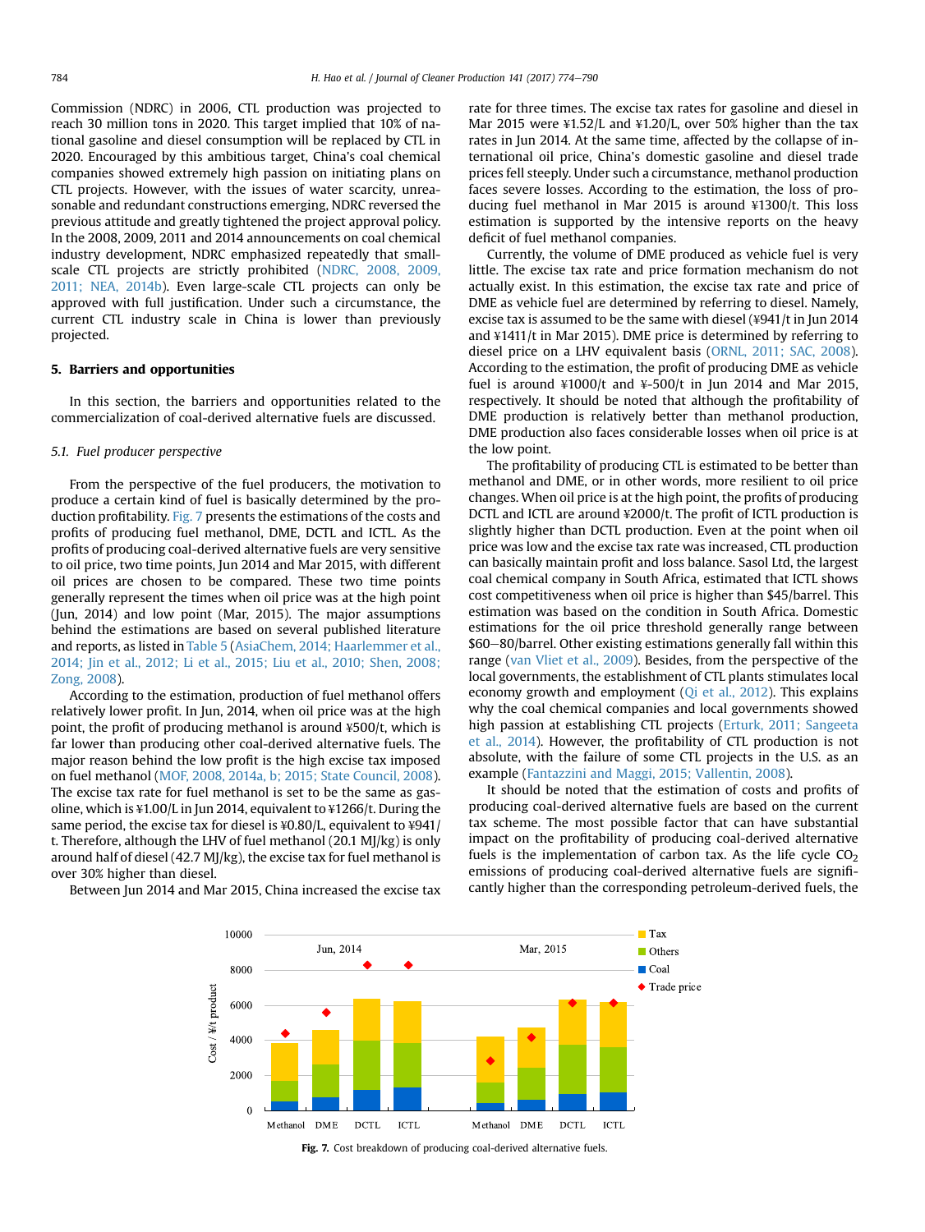Commission (NDRC) in 2006, CTL production was projected to reach 30 million tons in 2020. This target implied that 10% of national gasoline and diesel consumption will be replaced by CTL in 2020. Encouraged by this ambitious target, China's coal chemical companies showed extremely high passion on initiating plans on CTL projects. However, with the issues of water scarcity, unreasonable and redundant constructions emerging, NDRC reversed the previous attitude and greatly tightened the project approval policy. In the 2008, 2009, 2011 and 2014 announcements on coal chemical industry development, NDRC emphasized repeatedly that smallscale CTL projects are strictly prohibited [\(NDRC, 2008, 2009,](#page-15-0) [2011; NEA, 2014b](#page-15-0)). Even large-scale CTL projects can only be approved with full justification. Under such a circumstance, the current CTL industry scale in China is lower than previously projected.

#### 5. Barriers and opportunities

In this section, the barriers and opportunities related to the commercialization of coal-derived alternative fuels are discussed.

#### 5.1. Fuel producer perspective

From the perspective of the fuel producers, the motivation to produce a certain kind of fuel is basically determined by the production profitability. Fig. 7 presents the estimations of the costs and profits of producing fuel methanol, DME, DCTL and ICTL. As the profits of producing coal-derived alternative fuels are very sensitive to oil price, two time points, Jun 2014 and Mar 2015, with different oil prices are chosen to be compared. These two time points generally represent the times when oil price was at the high point (Jun, 2014) and low point (Mar, 2015). The major assumptions behind the estimations are based on several published literature and reports, as listed in [Table 5](#page-11-0) [\(AsiaChem, 2014; Haarlemmer et al.,](#page-14-0) [2014; Jin et al., 2012; Li et al., 2015; Liu et al., 2010; Shen, 2008;](#page-14-0) [Zong, 2008](#page-14-0)).

According to the estimation, production of fuel methanol offers relatively lower profit. In Jun, 2014, when oil price was at the high point, the profit of producing methanol is around ¥500/t, which is far lower than producing other coal-derived alternative fuels. The major reason behind the low profit is the high excise tax imposed on fuel methanol ([MOF, 2008, 2014a, b; 2015; State Council, 2008\)](#page-15-0). The excise tax rate for fuel methanol is set to be the same as gasoline, which is ¥1.00/L in Jun 2014, equivalent to ¥1266/t. During the same period, the excise tax for diesel is ¥0.80/L, equivalent to ¥941/ t. Therefore, although the LHV of fuel methanol (20.1 MJ/kg) is only around half of diesel (42.7 MJ/kg), the excise tax for fuel methanol is over 30% higher than diesel.

Between Jun 2014 and Mar 2015, China increased the excise tax

rate for three times. The excise tax rates for gasoline and diesel in Mar 2015 were ¥1.52/L and ¥1.20/L, over 50% higher than the tax rates in Jun 2014. At the same time, affected by the collapse of international oil price, China's domestic gasoline and diesel trade prices fell steeply. Under such a circumstance, methanol production faces severe losses. According to the estimation, the loss of producing fuel methanol in Mar 2015 is around ¥1300/t. This loss estimation is supported by the intensive reports on the heavy deficit of fuel methanol companies.

Currently, the volume of DME produced as vehicle fuel is very little. The excise tax rate and price formation mechanism do not actually exist. In this estimation, the excise tax rate and price of DME as vehicle fuel are determined by referring to diesel. Namely, excise tax is assumed to be the same with diesel (¥941/t in Jun 2014 and ¥1411/t in Mar 2015). DME price is determined by referring to diesel price on a LHV equivalent basis [\(ORNL, 2011; SAC, 2008\)](#page-15-0). According to the estimation, the profit of producing DME as vehicle fuel is around  $\text{\#}1000$ /t and  $\text{\#}500$ /t in Jun 2014 and Mar 2015, respectively. It should be noted that although the profitability of DME production is relatively better than methanol production, DME production also faces considerable losses when oil price is at the low point.

The profitability of producing CTL is estimated to be better than methanol and DME, or in other words, more resilient to oil price changes. When oil price is at the high point, the profits of producing DCTL and ICTL are around ¥2000/t. The profit of ICTL production is slightly higher than DCTL production. Even at the point when oil price was low and the excise tax rate was increased, CTL production can basically maintain profit and loss balance. Sasol Ltd, the largest coal chemical company in South Africa, estimated that ICTL shows cost competitiveness when oil price is higher than \$45/barrel. This estimation was based on the condition in South Africa. Domestic estimations for the oil price threshold generally range between \$60-80/barrel. Other existing estimations generally fall within this range ([van Vliet et al., 2009\)](#page-16-0). Besides, from the perspective of the local governments, the establishment of CTL plants stimulates local economy growth and employment [\(Qi et al., 2012\)](#page-15-0). This explains why the coal chemical companies and local governments showed high passion at establishing CTL projects [\(Erturk, 2011; Sangeeta](#page-14-0) [et al., 2014](#page-14-0)). However, the profitability of CTL production is not absolute, with the failure of some CTL projects in the U.S. as an example [\(Fantazzini and Maggi, 2015; Vallentin, 2008\)](#page-14-0).

It should be noted that the estimation of costs and profits of producing coal-derived alternative fuels are based on the current tax scheme. The most possible factor that can have substantial impact on the profitability of producing coal-derived alternative fuels is the implementation of carbon tax. As the life cycle  $CO<sub>2</sub>$ emissions of producing coal-derived alternative fuels are significantly higher than the corresponding petroleum-derived fuels, the



Fig. 7. Cost breakdown of producing coal-derived alternative fuels.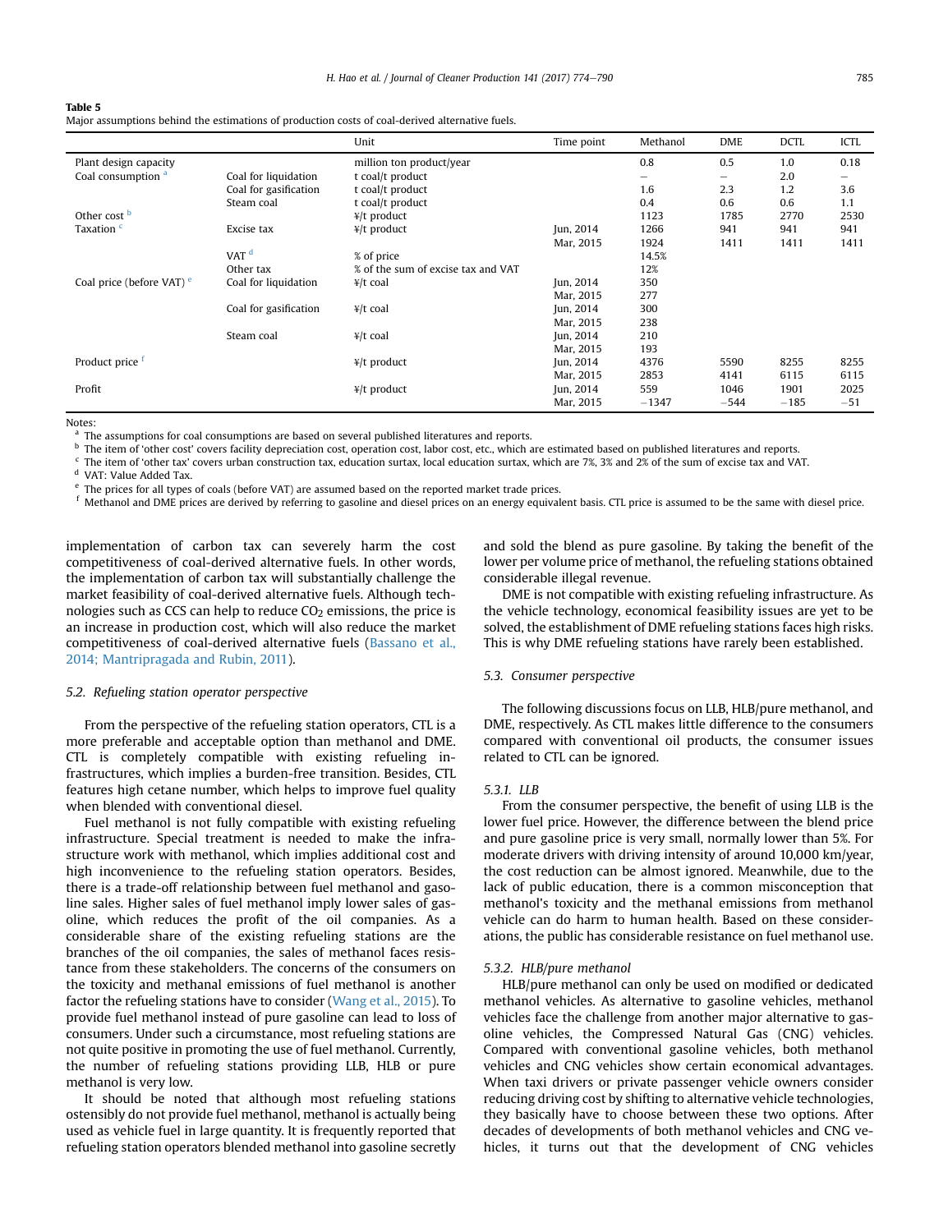<span id="page-11-0"></span>

|  |  |  |  |  |  |  | Major assumptions behind the estimations of production costs of coal-derived alternative fuels. |
|--|--|--|--|--|--|--|-------------------------------------------------------------------------------------------------|
|--|--|--|--|--|--|--|-------------------------------------------------------------------------------------------------|

|                                      |                       | Unit                               | Time point | Methanol | <b>DME</b> | <b>DCTL</b> | ICTL                     |
|--------------------------------------|-----------------------|------------------------------------|------------|----------|------------|-------------|--------------------------|
| Plant design capacity                |                       | million ton product/year           |            | 0.8      | 0.5        | 1.0         | 0.18                     |
| Coal consumption <sup>a</sup>        | Coal for liquidation  | t coal/t product                   |            | -        | -          | 2.0         | $\overline{\phantom{0}}$ |
|                                      | Coal for gasification | t coal/t product                   |            | 1.6      | 2.3        | 1.2         | 3.6                      |
|                                      | Steam coal            | t coal/t product                   |            | 0.4      | 0.6        | 0.6         | 1.1                      |
| Other cost <b>b</b>                  |                       | $\frac{y}{t}$ product              |            | 1123     | 1785       | 2770        | 2530                     |
| Taxation <sup>c</sup>                | Excise tax            | $\frac{y}{t}$ product              | Jun, 2014  | 1266     | 941        | 941         | 941                      |
|                                      |                       |                                    | Mar, 2015  | 1924     | 1411       | 1411        | 1411                     |
|                                      | VAT <sup>d</sup>      | % of price                         |            | 14.5%    |            |             |                          |
|                                      | Other tax             | % of the sum of excise tax and VAT |            | 12%      |            |             |                          |
| Coal price (before VAT) <sup>e</sup> | Coal for liquidation  | $\frac{4}{1}$ t coal               | Jun, 2014  | 350      |            |             |                          |
|                                      |                       |                                    | Mar, 2015  | 277      |            |             |                          |
|                                      | Coal for gasification | $\frac{4}{1}$ t coal               | Jun, 2014  | 300      |            |             |                          |
|                                      |                       |                                    | Mar, 2015  | 238      |            |             |                          |
|                                      | Steam coal            | $\frac{4}{1}$ t coal               | Jun, 2014  | 210      |            |             |                          |
|                                      |                       |                                    | Mar, 2015  | 193      |            |             |                          |
| Product price f                      |                       | $\frac{y}{t}$ product              | Jun, 2014  | 4376     | 5590       | 8255        | 8255                     |
|                                      |                       |                                    | Mar, 2015  | 2853     | 4141       | 6115        | 6115                     |
| Profit                               |                       | $\frac{y}{t}$ product              | Jun, 2014  | 559      | 1046       | 1901        | 2025                     |
|                                      |                       |                                    | Mar, 2015  | $-1347$  | $-544$     | $-185$      | $-51$                    |

Notes:

<sup>a</sup> The assumptions for coal consumptions are based on several published literatures and reports.

**b** The item of 'other cost' covers facility depreciation cost, operation cost, labor cost, etc., which are estimated based on published literatures and reports.

<sup>c</sup> The item of 'other tax' covers urban construction tax, education surtax, local education surtax, which are 7%, 3% and 2% of the sum of excise tax and VAT.

<sup>d</sup> VAT: Value Added Tax.

<sup>e</sup> The prices for all types of coals (before VAT) are assumed based on the reported market trade prices.

Methanol and DME prices are derived by referring to gasoline and diesel prices on an energy equivalent basis. CTL price is assumed to be the same with diesel price.

implementation of carbon tax can severely harm the cost competitiveness of coal-derived alternative fuels. In other words, the implementation of carbon tax will substantially challenge the market feasibility of coal-derived alternative fuels. Although technologies such as CCS can help to reduce  $CO<sub>2</sub>$  emissions, the price is an increase in production cost, which will also reduce the market competitiveness of coal-derived alternative fuels [\(Bassano et al.,](#page-14-0) [2014; Mantripragada and Rubin, 2011](#page-14-0)).

#### 5.2. Refueling station operator perspective

From the perspective of the refueling station operators, CTL is a more preferable and acceptable option than methanol and DME. CTL is completely compatible with existing refueling infrastructures, which implies a burden-free transition. Besides, CTL features high cetane number, which helps to improve fuel quality when blended with conventional diesel.

Fuel methanol is not fully compatible with existing refueling infrastructure. Special treatment is needed to make the infrastructure work with methanol, which implies additional cost and high inconvenience to the refueling station operators. Besides, there is a trade-off relationship between fuel methanol and gasoline sales. Higher sales of fuel methanol imply lower sales of gasoline, which reduces the profit of the oil companies. As a considerable share of the existing refueling stations are the branches of the oil companies, the sales of methanol faces resistance from these stakeholders. The concerns of the consumers on the toxicity and methanal emissions of fuel methanol is another factor the refueling stations have to consider [\(Wang et al., 2015\)](#page-16-0). To provide fuel methanol instead of pure gasoline can lead to loss of consumers. Under such a circumstance, most refueling stations are not quite positive in promoting the use of fuel methanol. Currently, the number of refueling stations providing LLB, HLB or pure methanol is very low.

It should be noted that although most refueling stations ostensibly do not provide fuel methanol, methanol is actually being used as vehicle fuel in large quantity. It is frequently reported that refueling station operators blended methanol into gasoline secretly

and sold the blend as pure gasoline. By taking the benefit of the lower per volume price of methanol, the refueling stations obtained considerable illegal revenue.

DME is not compatible with existing refueling infrastructure. As the vehicle technology, economical feasibility issues are yet to be solved, the establishment of DME refueling stations faces high risks. This is why DME refueling stations have rarely been established.

#### 5.3. Consumer perspective

The following discussions focus on LLB, HLB/pure methanol, and DME, respectively. As CTL makes little difference to the consumers compared with conventional oil products, the consumer issues related to CTL can be ignored.

#### 5.3.1. LLB

From the consumer perspective, the benefit of using LLB is the lower fuel price. However, the difference between the blend price and pure gasoline price is very small, normally lower than 5%. For moderate drivers with driving intensity of around 10,000 km/year, the cost reduction can be almost ignored. Meanwhile, due to the lack of public education, there is a common misconception that methanol's toxicity and the methanal emissions from methanol vehicle can do harm to human health. Based on these considerations, the public has considerable resistance on fuel methanol use.

#### 5.3.2. HLB/pure methanol

HLB/pure methanol can only be used on modified or dedicated methanol vehicles. As alternative to gasoline vehicles, methanol vehicles face the challenge from another major alternative to gasoline vehicles, the Compressed Natural Gas (CNG) vehicles. Compared with conventional gasoline vehicles, both methanol vehicles and CNG vehicles show certain economical advantages. When taxi drivers or private passenger vehicle owners consider reducing driving cost by shifting to alternative vehicle technologies, they basically have to choose between these two options. After decades of developments of both methanol vehicles and CNG vehicles, it turns out that the development of CNG vehicles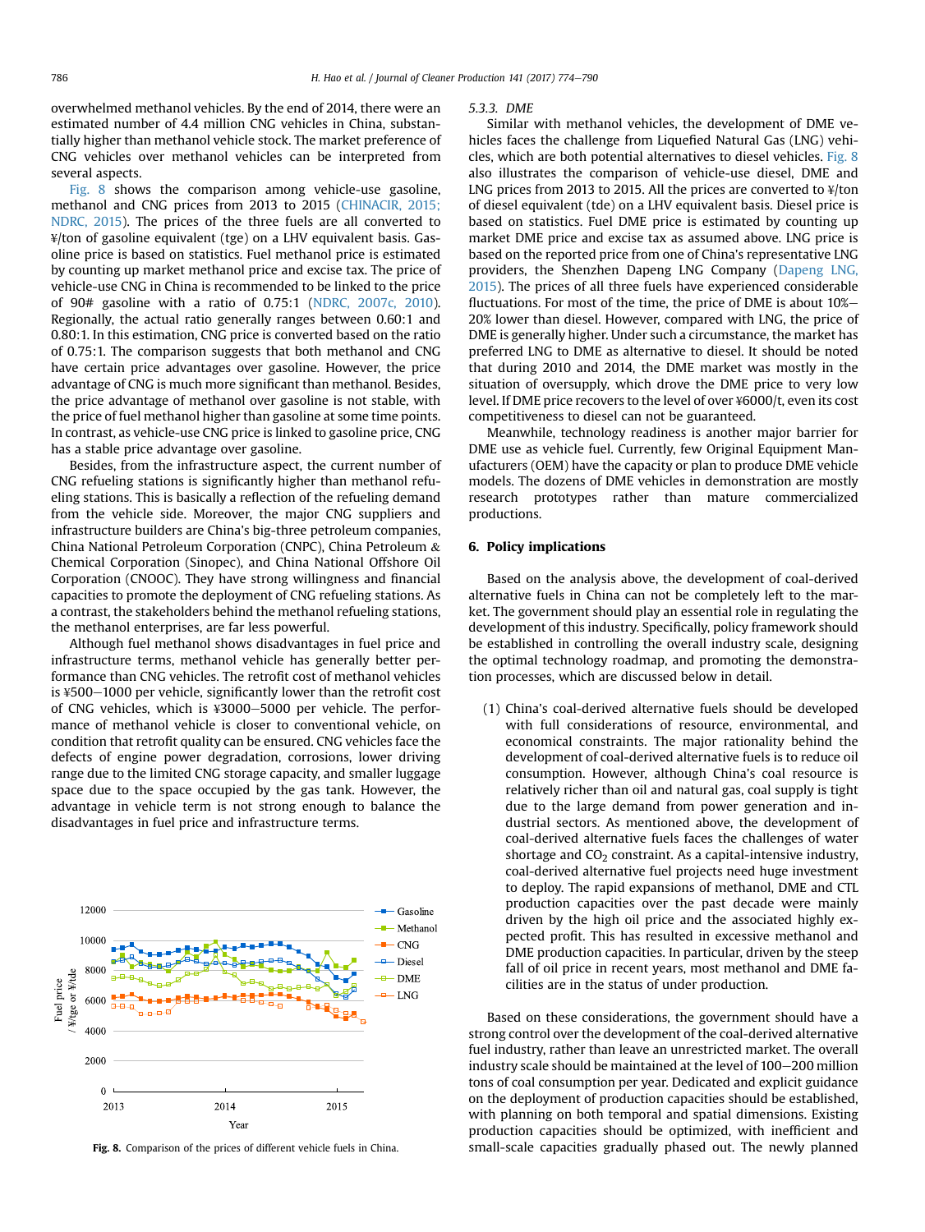overwhelmed methanol vehicles. By the end of 2014, there were an estimated number of 4.4 million CNG vehicles in China, substantially higher than methanol vehicle stock. The market preference of CNG vehicles over methanol vehicles can be interpreted from several aspects.

Fig. 8 shows the comparison among vehicle-use gasoline, methanol and CNG prices from 2013 to 2015 ([CHINACIR, 2015;](#page-14-0) [NDRC, 2015\)](#page-14-0). The prices of the three fuels are all converted to ¥/ton of gasoline equivalent (tge) on a LHV equivalent basis. Gasoline price is based on statistics. Fuel methanol price is estimated by counting up market methanol price and excise tax. The price of vehicle-use CNG in China is recommended to be linked to the price of 90# gasoline with a ratio of 0.75:1 ([NDRC, 2007c, 2010\)](#page-15-0). Regionally, the actual ratio generally ranges between 0.60:1 and 0.80:1. In this estimation, CNG price is converted based on the ratio of 0.75:1. The comparison suggests that both methanol and CNG have certain price advantages over gasoline. However, the price advantage of CNG is much more significant than methanol. Besides, the price advantage of methanol over gasoline is not stable, with the price of fuel methanol higher than gasoline at some time points. In contrast, as vehicle-use CNG price is linked to gasoline price, CNG has a stable price advantage over gasoline.

Besides, from the infrastructure aspect, the current number of CNG refueling stations is significantly higher than methanol refueling stations. This is basically a reflection of the refueling demand from the vehicle side. Moreover, the major CNG suppliers and infrastructure builders are China's big-three petroleum companies, China National Petroleum Corporation (CNPC), China Petroleum & Chemical Corporation (Sinopec), and China National Offshore Oil Corporation (CNOOC). They have strong willingness and financial capacities to promote the deployment of CNG refueling stations. As a contrast, the stakeholders behind the methanol refueling stations, the methanol enterprises, are far less powerful.

Although fuel methanol shows disadvantages in fuel price and infrastructure terms, methanol vehicle has generally better performance than CNG vehicles. The retrofit cost of methanol vehicles is  $4500-1000$  per vehicle, significantly lower than the retrofit cost of CNG vehicles, which is  $\frac{1}{2}3000 - 5000$  per vehicle. The performance of methanol vehicle is closer to conventional vehicle, on condition that retrofit quality can be ensured. CNG vehicles face the defects of engine power degradation, corrosions, lower driving range due to the limited CNG storage capacity, and smaller luggage space due to the space occupied by the gas tank. However, the advantage in vehicle term is not strong enough to balance the disadvantages in fuel price and infrastructure terms.



#### 5.3.3. DME

Similar with methanol vehicles, the development of DME vehicles faces the challenge from Liquefied Natural Gas (LNG) vehicles, which are both potential alternatives to diesel vehicles. Fig. 8 also illustrates the comparison of vehicle-use diesel, DME and LNG prices from 2013 to 2015. All the prices are converted to ¥/ton of diesel equivalent (tde) on a LHV equivalent basis. Diesel price is based on statistics. Fuel DME price is estimated by counting up market DME price and excise tax as assumed above. LNG price is based on the reported price from one of China's representative LNG providers, the Shenzhen Dapeng LNG Company ([Dapeng LNG,](#page-14-0) [2015\)](#page-14-0). The prices of all three fuels have experienced considerable fluctuations. For most of the time, the price of DME is about 10%-20% lower than diesel. However, compared with LNG, the price of DME is generally higher. Under such a circumstance, the market has preferred LNG to DME as alternative to diesel. It should be noted that during 2010 and 2014, the DME market was mostly in the situation of oversupply, which drove the DME price to very low level. If DME price recovers to the level of over ¥6000/t, even its cost competitiveness to diesel can not be guaranteed.

Meanwhile, technology readiness is another major barrier for DME use as vehicle fuel. Currently, few Original Equipment Manufacturers (OEM) have the capacity or plan to produce DME vehicle models. The dozens of DME vehicles in demonstration are mostly research prototypes rather than mature commercialized productions.

#### 6. Policy implications

Based on the analysis above, the development of coal-derived alternative fuels in China can not be completely left to the market. The government should play an essential role in regulating the development of this industry. Specifically, policy framework should be established in controlling the overall industry scale, designing the optimal technology roadmap, and promoting the demonstration processes, which are discussed below in detail.

(1) China's coal-derived alternative fuels should be developed with full considerations of resource, environmental, and economical constraints. The major rationality behind the development of coal-derived alternative fuels is to reduce oil consumption. However, although China's coal resource is relatively richer than oil and natural gas, coal supply is tight due to the large demand from power generation and industrial sectors. As mentioned above, the development of coal-derived alternative fuels faces the challenges of water shortage and  $CO<sub>2</sub>$  constraint. As a capital-intensive industry, coal-derived alternative fuel projects need huge investment to deploy. The rapid expansions of methanol, DME and CTL production capacities over the past decade were mainly driven by the high oil price and the associated highly expected profit. This has resulted in excessive methanol and DME production capacities. In particular, driven by the steep fall of oil price in recent years, most methanol and DME facilities are in the status of under production.

Based on these considerations, the government should have a strong control over the development of the coal-derived alternative fuel industry, rather than leave an unrestricted market. The overall industry scale should be maintained at the level of  $100-200$  million tons of coal consumption per year. Dedicated and explicit guidance on the deployment of production capacities should be established, with planning on both temporal and spatial dimensions. Existing production capacities should be optimized, with inefficient and Fig. 8. Comparison of the prices of different vehicle fuels in China. small-scale capacities gradually phased out. The newly planned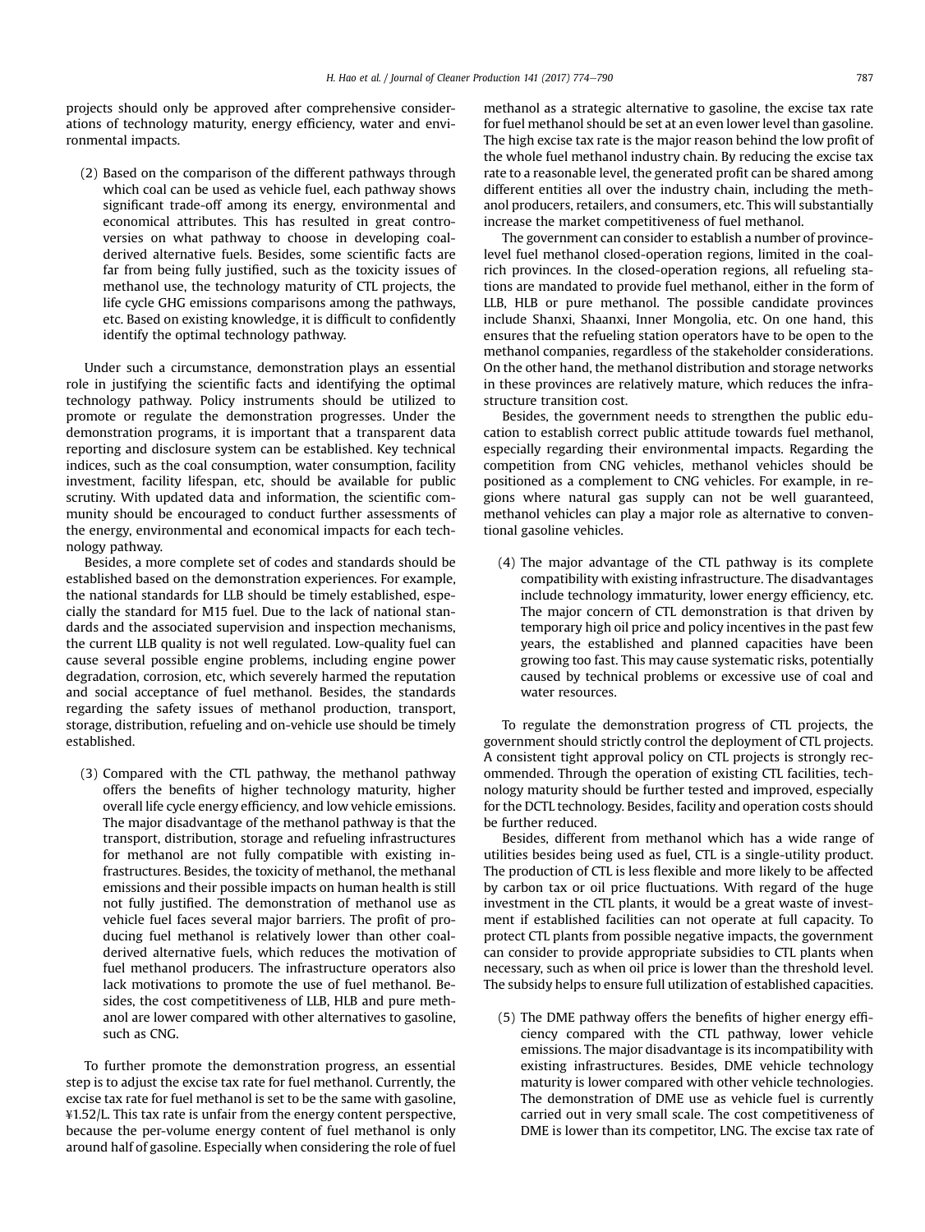projects should only be approved after comprehensive considerations of technology maturity, energy efficiency, water and environmental impacts.

(2) Based on the comparison of the different pathways through which coal can be used as vehicle fuel, each pathway shows significant trade-off among its energy, environmental and economical attributes. This has resulted in great controversies on what pathway to choose in developing coalderived alternative fuels. Besides, some scientific facts are far from being fully justified, such as the toxicity issues of methanol use, the technology maturity of CTL projects, the life cycle GHG emissions comparisons among the pathways, etc. Based on existing knowledge, it is difficult to confidently identify the optimal technology pathway.

Under such a circumstance, demonstration plays an essential role in justifying the scientific facts and identifying the optimal technology pathway. Policy instruments should be utilized to promote or regulate the demonstration progresses. Under the demonstration programs, it is important that a transparent data reporting and disclosure system can be established. Key technical indices, such as the coal consumption, water consumption, facility investment, facility lifespan, etc, should be available for public scrutiny. With updated data and information, the scientific community should be encouraged to conduct further assessments of the energy, environmental and economical impacts for each technology pathway.

Besides, a more complete set of codes and standards should be established based on the demonstration experiences. For example, the national standards for LLB should be timely established, especially the standard for M15 fuel. Due to the lack of national standards and the associated supervision and inspection mechanisms, the current LLB quality is not well regulated. Low-quality fuel can cause several possible engine problems, including engine power degradation, corrosion, etc, which severely harmed the reputation and social acceptance of fuel methanol. Besides, the standards regarding the safety issues of methanol production, transport, storage, distribution, refueling and on-vehicle use should be timely established.

(3) Compared with the CTL pathway, the methanol pathway offers the benefits of higher technology maturity, higher overall life cycle energy efficiency, and low vehicle emissions. The major disadvantage of the methanol pathway is that the transport, distribution, storage and refueling infrastructures for methanol are not fully compatible with existing infrastructures. Besides, the toxicity of methanol, the methanal emissions and their possible impacts on human health is still not fully justified. The demonstration of methanol use as vehicle fuel faces several major barriers. The profit of producing fuel methanol is relatively lower than other coalderived alternative fuels, which reduces the motivation of fuel methanol producers. The infrastructure operators also lack motivations to promote the use of fuel methanol. Besides, the cost competitiveness of LLB, HLB and pure methanol are lower compared with other alternatives to gasoline, such as CNG.

To further promote the demonstration progress, an essential step is to adjust the excise tax rate for fuel methanol. Currently, the excise tax rate for fuel methanol is set to be the same with gasoline, ¥1.52/L. This tax rate is unfair from the energy content perspective, because the per-volume energy content of fuel methanol is only around half of gasoline. Especially when considering the role of fuel methanol as a strategic alternative to gasoline, the excise tax rate for fuel methanol should be set at an even lower level than gasoline. The high excise tax rate is the major reason behind the low profit of the whole fuel methanol industry chain. By reducing the excise tax rate to a reasonable level, the generated profit can be shared among different entities all over the industry chain, including the methanol producers, retailers, and consumers, etc. This will substantially increase the market competitiveness of fuel methanol.

The government can consider to establish a number of provincelevel fuel methanol closed-operation regions, limited in the coalrich provinces. In the closed-operation regions, all refueling stations are mandated to provide fuel methanol, either in the form of LLB, HLB or pure methanol. The possible candidate provinces include Shanxi, Shaanxi, Inner Mongolia, etc. On one hand, this ensures that the refueling station operators have to be open to the methanol companies, regardless of the stakeholder considerations. On the other hand, the methanol distribution and storage networks in these provinces are relatively mature, which reduces the infrastructure transition cost.

Besides, the government needs to strengthen the public education to establish correct public attitude towards fuel methanol, especially regarding their environmental impacts. Regarding the competition from CNG vehicles, methanol vehicles should be positioned as a complement to CNG vehicles. For example, in regions where natural gas supply can not be well guaranteed, methanol vehicles can play a major role as alternative to conventional gasoline vehicles.

(4) The major advantage of the CTL pathway is its complete compatibility with existing infrastructure. The disadvantages include technology immaturity, lower energy efficiency, etc. The major concern of CTL demonstration is that driven by temporary high oil price and policy incentives in the past few years, the established and planned capacities have been growing too fast. This may cause systematic risks, potentially caused by technical problems or excessive use of coal and water resources.

To regulate the demonstration progress of CTL projects, the government should strictly control the deployment of CTL projects. A consistent tight approval policy on CTL projects is strongly recommended. Through the operation of existing CTL facilities, technology maturity should be further tested and improved, especially for the DCTL technology. Besides, facility and operation costs should be further reduced.

Besides, different from methanol which has a wide range of utilities besides being used as fuel, CTL is a single-utility product. The production of CTL is less flexible and more likely to be affected by carbon tax or oil price fluctuations. With regard of the huge investment in the CTL plants, it would be a great waste of investment if established facilities can not operate at full capacity. To protect CTL plants from possible negative impacts, the government can consider to provide appropriate subsidies to CTL plants when necessary, such as when oil price is lower than the threshold level. The subsidy helps to ensure full utilization of established capacities.

(5) The DME pathway offers the benefits of higher energy efficiency compared with the CTL pathway, lower vehicle emissions. The major disadvantage is its incompatibility with existing infrastructures. Besides, DME vehicle technology maturity is lower compared with other vehicle technologies. The demonstration of DME use as vehicle fuel is currently carried out in very small scale. The cost competitiveness of DME is lower than its competitor, LNG. The excise tax rate of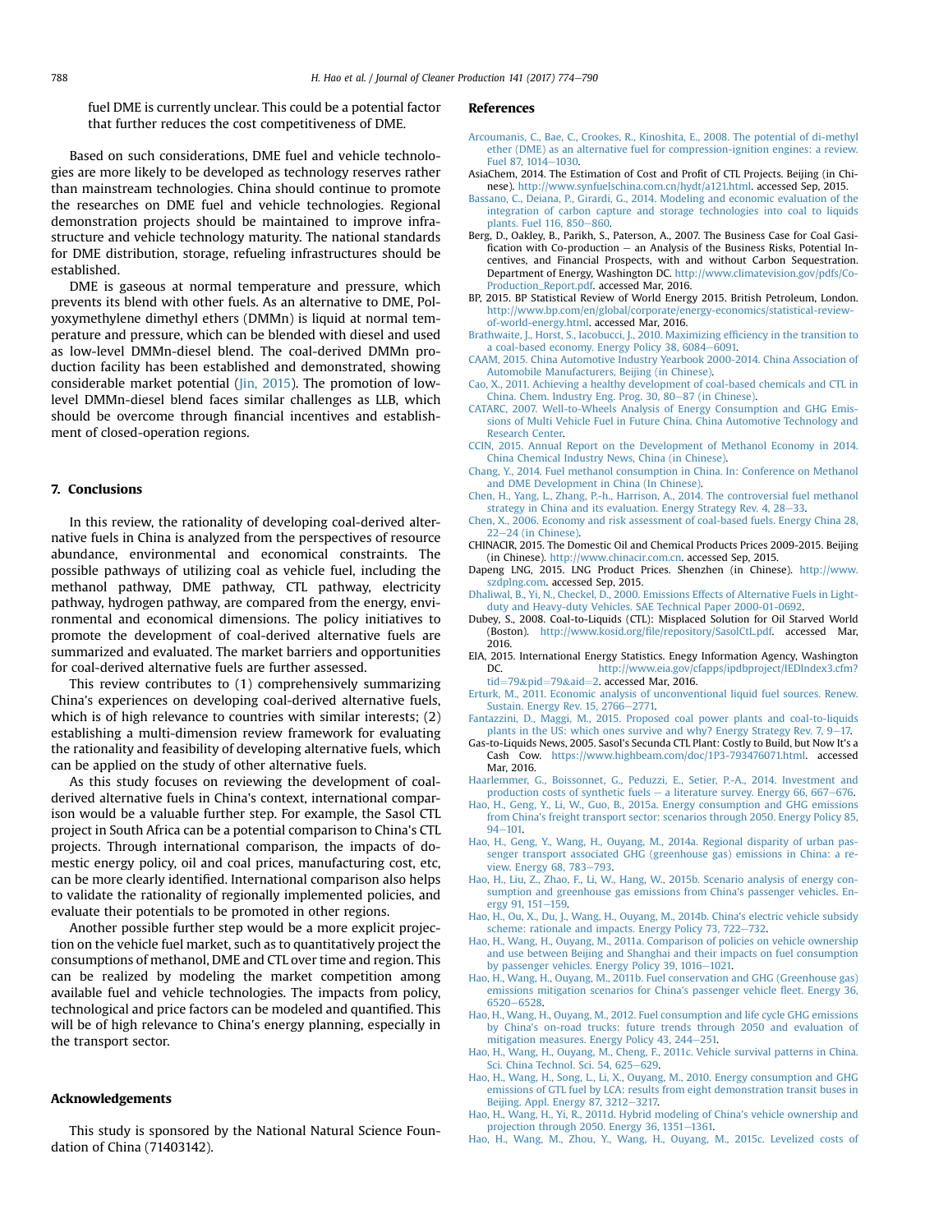<span id="page-14-0"></span>fuel DME is currently unclear. This could be a potential factor that further reduces the cost competitiveness of DME.

Based on such considerations, DME fuel and vehicle technologies are more likely to be developed as technology reserves rather than mainstream technologies. China should continue to promote the researches on DME fuel and vehicle technologies. Regional demonstration projects should be maintained to improve infrastructure and vehicle technology maturity. The national standards for DME distribution, storage, refueling infrastructures should be established.

DME is gaseous at normal temperature and pressure, which prevents its blend with other fuels. As an alternative to DME, Polyoxymethylene dimethyl ethers (DMMn) is liquid at normal temperature and pressure, which can be blended with diesel and used as low-level DMMn-diesel blend. The coal-derived DMMn production facility has been established and demonstrated, showing considerable market potential [\(Jin, 2015](#page-15-0)). The promotion of lowlevel DMMn-diesel blend faces similar challenges as LLB, which should be overcome through financial incentives and establishment of closed-operation regions.

#### 7. Conclusions

In this review, the rationality of developing coal-derived alternative fuels in China is analyzed from the perspectives of resource abundance, environmental and economical constraints. The possible pathways of utilizing coal as vehicle fuel, including the methanol pathway, DME pathway, CTL pathway, electricity pathway, hydrogen pathway, are compared from the energy, environmental and economical dimensions. The policy initiatives to promote the development of coal-derived alternative fuels are summarized and evaluated. The market barriers and opportunities for coal-derived alternative fuels are further assessed.

This review contributes to (1) comprehensively summarizing China's experiences on developing coal-derived alternative fuels, which is of high relevance to countries with similar interests; (2) establishing a multi-dimension review framework for evaluating the rationality and feasibility of developing alternative fuels, which can be applied on the study of other alternative fuels.

As this study focuses on reviewing the development of coalderived alternative fuels in China's context, international comparison would be a valuable further step. For example, the Sasol CTL project in South Africa can be a potential comparison to China's CTL projects. Through international comparison, the impacts of domestic energy policy, oil and coal prices, manufacturing cost, etc, can be more clearly identified. International comparison also helps to validate the rationality of regionally implemented policies, and evaluate their potentials to be promoted in other regions.

Another possible further step would be a more explicit projection on the vehicle fuel market, such as to quantitatively project the consumptions of methanol, DME and CTL over time and region. This can be realized by modeling the market competition among available fuel and vehicle technologies. The impacts from policy, technological and price factors can be modeled and quantified. This will be of high relevance to China's energy planning, especially in the transport sector.

#### Acknowledgements

This study is sponsored by the National Natural Science Foundation of China (71403142).

#### References

- [Arcoumanis, C., Bae, C., Crookes, R., Kinoshita, E., 2008. The potential of di-methyl](http://refhub.elsevier.com/S0959-6526(16)31478-0/sref1) [ether \(DME\) as an alternative fuel for compression-ignition engines: a review.](http://refhub.elsevier.com/S0959-6526(16)31478-0/sref1) [Fuel 87, 1014](http://refhub.elsevier.com/S0959-6526(16)31478-0/sref1)-[1030](http://refhub.elsevier.com/S0959-6526(16)31478-0/sref1).
- AsiaChem, 2014. The Estimation of Cost and Profit of CTL Projects. Beijing (in Chinese). [http://www.synfuelschina.com.cn/hydt/a121.html.](http://www.synfuelschina.com.cn/hydt/a121.html) accessed Sep, 2015.
- [Bassano, C., Deiana, P., Girardi, G., 2014. Modeling and economic evaluation of the](http://refhub.elsevier.com/S0959-6526(16)31478-0/sref3) [integration of carbon capture and storage technologies into coal to liquids](http://refhub.elsevier.com/S0959-6526(16)31478-0/sref3) plants. Fuel  $116, 850 - 860$ .
- Berg, D., Oakley, B., Parikh, S., Paterson, A., 2007. The Business Case for Coal Gasification with Co-production  $-$  an Analysis of the Business Risks, Potential Incentives, and Financial Prospects, with and without Carbon Sequestration. Department of Energy, Washington DC. [http://www.climatevision.gov/pdfs/Co-](http://www.climatevision.gov/pdfs/Co-Production_Report.pdf)[Production\\_Report.pdf.](http://www.climatevision.gov/pdfs/Co-Production_Report.pdf) accessed Mar, 2016.
- BP, 2015. BP Statistical Review of World Energy 2015. British Petroleum, London. [http://www.bp.com/en/global/corporate/energy-economics/statistical-review](http://www.bp.com/en/global/corporate/energy-economics/statistical-review-of-world-energy.html)[of-world-energy.html](http://www.bp.com/en/global/corporate/energy-economics/statistical-review-of-world-energy.html). accessed Mar, 2016.
- [Brathwaite, J., Horst, S., Iacobucci, J., 2010. Maximizing ef](http://refhub.elsevier.com/S0959-6526(16)31478-0/sref6)ficiency in the transition to [a coal-based economy. Energy Policy 38, 6084](http://refhub.elsevier.com/S0959-6526(16)31478-0/sref6)-[6091.](http://refhub.elsevier.com/S0959-6526(16)31478-0/sref6)
- [CAAM, 2015. China Automotive Industry Yearbook 2000-2014. China Association of](http://refhub.elsevier.com/S0959-6526(16)31478-0/sref7) [Automobile Manufacturers, Beijing \(in Chinese\)](http://refhub.elsevier.com/S0959-6526(16)31478-0/sref7).
- [Cao, X., 2011. Achieving a healthy development of coal-based chemicals and CTL in](http://refhub.elsevier.com/S0959-6526(16)31478-0/sref8) [China. Chem. Industry Eng. Prog. 30, 80](http://refhub.elsevier.com/S0959-6526(16)31478-0/sref8)-[87 \(in Chinese\)](http://refhub.elsevier.com/S0959-6526(16)31478-0/sref8).
- [CATARC, 2007. Well-to-Wheels Analysis of Energy Consumption and GHG Emis](http://refhub.elsevier.com/S0959-6526(16)31478-0/sref9)[sions of Multi Vehicle Fuel in Future China. China Automotive Technology and](http://refhub.elsevier.com/S0959-6526(16)31478-0/sref9) [Research Center.](http://refhub.elsevier.com/S0959-6526(16)31478-0/sref9)
- [CCIN, 2015. Annual Report on the Development of Methanol Economy in 2014.](http://refhub.elsevier.com/S0959-6526(16)31478-0/sref10) [China Chemical Industry News, China \(in Chinese\)](http://refhub.elsevier.com/S0959-6526(16)31478-0/sref10).
- [Chang, Y., 2014. Fuel methanol consumption in China. In: Conference on Methanol](http://refhub.elsevier.com/S0959-6526(16)31478-0/sref11) [and DME Development in China \(In Chinese\)](http://refhub.elsevier.com/S0959-6526(16)31478-0/sref11).
- [Chen, H., Yang, L., Zhang, P.-h., Harrison, A., 2014. The controversial fuel methanol](http://refhub.elsevier.com/S0959-6526(16)31478-0/sref12) [strategy in China and its evaluation. Energy Strategy Rev. 4, 28](http://refhub.elsevier.com/S0959-6526(16)31478-0/sref12)-[33](http://refhub.elsevier.com/S0959-6526(16)31478-0/sref12).
- [Chen, X., 2006. Economy and risk assessment of coal-based fuels. Energy China 28,](http://refhub.elsevier.com/S0959-6526(16)31478-0/sref13)  $22-24$  $22-24$  (in Chinese)
- CHINACIR, 2015. The Domestic Oil and Chemical Products Prices 2009-2015. Beijing (in Chinese). [http://www.chinacir.com.cn.](http://www.chinacir.com.cn) accessed Sep, 2015.
- Dapeng LNG, 2015. LNG Product Prices. Shenzhen (in Chinese). [http://www.](http://www.szdplng.com) [szdplng.com.](http://www.szdplng.com) accessed Sep, 2015.
- [Dhaliwal, B., Yi, N., Checkel, D., 2000. Emissions Effects of Alternative Fuels in Light](http://refhub.elsevier.com/S0959-6526(16)31478-0/sref16)[duty and Heavy-duty Vehicles. SAE Technical Paper 2000-01-0692.](http://refhub.elsevier.com/S0959-6526(16)31478-0/sref16)
- Dubey, S., 2008. Coal-to-Liquids (CTL): Misplaced Solution for Oil Starved World (Boston). http://www.kosid.org/fi[le/repository/SasolCtL.pdf](http://www.kosid.org/file/repository/SasolCtL.pdf). accessed Mar, 2016.
- EIA, 2015. International Energy Statistics. Enegy Information Agency, Washington<br>DC. http://www.eia.gov/cfapps/indbproject/IEDIndex3.cfm? [http://www.eia.gov/cfapps/ipdbproject/IEDIndex3.cfm?](http://www.eia.gov/cfapps/ipdbproject/IEDIndex3.cfm?tid=79&pid=79&aid=2) [tid](http://www.eia.gov/cfapps/ipdbproject/IEDIndex3.cfm?tid=79&pid=79&aid=2)=[79](http://www.eia.gov/cfapps/ipdbproject/IEDIndex3.cfm?tid=79&pid=79&aid=2)&[pid](http://www.eia.gov/cfapps/ipdbproject/IEDIndex3.cfm?tid=79&pid=79&aid=2)=79&[aid](http://www.eia.gov/cfapps/ipdbproject/IEDIndex3.cfm?tid=79&pid=79&aid=2)=[2.](http://www.eia.gov/cfapps/ipdbproject/IEDIndex3.cfm?tid=79&pid=79&aid=2) accessed Mar, 2016.
- [Erturk, M., 2011. Economic analysis of unconventional liquid fuel sources. Renew.](http://refhub.elsevier.com/S0959-6526(16)31478-0/sref19) [Sustain. Energy Rev. 15, 2766](http://refhub.elsevier.com/S0959-6526(16)31478-0/sref19)-[2771.](http://refhub.elsevier.com/S0959-6526(16)31478-0/sref19)
- [Fantazzini, D., Maggi, M., 2015. Proposed coal power plants and coal-to-liquids](http://refhub.elsevier.com/S0959-6526(16)31478-0/sref20) [plants in the US: which ones survive and why? Energy Strategy Rev. 7, 9](http://refhub.elsevier.com/S0959-6526(16)31478-0/sref20)
- Gas-to-Liquids News, 2005. Sasol's Secunda CTL Plant: Costly to Build, but Now It's a Cash Cow. [https://www.highbeam.com/doc/1P3-793476071.html.](https://www.highbeam.com/doc/1P3-793476071.html) accessed Mar, 2016.
- [Haarlemmer, G., Boissonnet, G., Peduzzi, E., Setier, P.-A., 2014. Investment and](http://refhub.elsevier.com/S0959-6526(16)31478-0/sref22)
- [production costs of synthetic fuels](http://refhub.elsevier.com/S0959-6526(16)31478-0/sref22)  $-$  [a literature survey. Energy 66, 667](http://refhub.elsevier.com/S0959-6526(16)31478-0/sref22)–[676.](http://refhub.elsevier.com/S0959-6526(16)31478-0/sref22) [Hao, H., Geng, Y., Li, W., Guo, B., 2015a. Energy consumption and GHG emissions](http://refhub.elsevier.com/S0959-6526(16)31478-0/sref23) [from China's freight transport sector: scenarios through 2050. Energy Policy 85,](http://refhub.elsevier.com/S0959-6526(16)31478-0/sref23)  $94 - 101.$  $94 - 101.$  $94 - 101.$
- [Hao, H., Geng, Y., Wang, H., Ouyang, M., 2014a. Regional disparity of urban pas](http://refhub.elsevier.com/S0959-6526(16)31478-0/sref24)[senger transport associated GHG \(greenhouse gas\) emissions in China: a re](http://refhub.elsevier.com/S0959-6526(16)31478-0/sref24)[view. Energy 68, 783](http://refhub.elsevier.com/S0959-6526(16)31478-0/sref24)-[793.](http://refhub.elsevier.com/S0959-6526(16)31478-0/sref24)
- [Hao, H., Liu, Z., Zhao, F., Li, W., Hang, W., 2015b. Scenario analysis of energy con](http://refhub.elsevier.com/S0959-6526(16)31478-0/sref25)[sumption and greenhouse gas emissions from China's passenger vehicles. En](http://refhub.elsevier.com/S0959-6526(16)31478-0/sref25)[ergy 91, 151](http://refhub.elsevier.com/S0959-6526(16)31478-0/sref25)-[159](http://refhub.elsevier.com/S0959-6526(16)31478-0/sref25).
- [Hao, H., Ou, X., Du, J., Wang, H., Ouyang, M., 2014b. China's electric vehicle subsidy](http://refhub.elsevier.com/S0959-6526(16)31478-0/sref26) [scheme: rationale and impacts. Energy Policy 73, 722](http://refhub.elsevier.com/S0959-6526(16)31478-0/sref26)-[732](http://refhub.elsevier.com/S0959-6526(16)31478-0/sref26).
- [Hao, H., Wang, H., Ouyang, M., 2011a. Comparison of policies on vehicle ownership](http://refhub.elsevier.com/S0959-6526(16)31478-0/sref27) [and use between Beijing and Shanghai and their impacts on fuel consumption](http://refhub.elsevier.com/S0959-6526(16)31478-0/sref27) [by passenger vehicles. Energy Policy 39, 1016](http://refhub.elsevier.com/S0959-6526(16)31478-0/sref27)-[1021.](http://refhub.elsevier.com/S0959-6526(16)31478-0/sref27)
- [Hao, H., Wang, H., Ouyang, M., 2011b. Fuel conservation and GHG \(Greenhouse gas\)](http://refhub.elsevier.com/S0959-6526(16)31478-0/sref28) [emissions mitigation scenarios for China's passenger vehicle](http://refhub.elsevier.com/S0959-6526(16)31478-0/sref28) fleet. Energy 36, [6520](http://refhub.elsevier.com/S0959-6526(16)31478-0/sref28)-[6528](http://refhub.elsevier.com/S0959-6526(16)31478-0/sref28).
- [Hao, H., Wang, H., Ouyang, M., 2012. Fuel consumption and life cycle GHG emissions](http://refhub.elsevier.com/S0959-6526(16)31478-0/sref29) [by China's on-road trucks: future trends through 2050 and evaluation of](http://refhub.elsevier.com/S0959-6526(16)31478-0/sref29) [mitigation measures. Energy Policy 43, 244](http://refhub.elsevier.com/S0959-6526(16)31478-0/sref29)–[251.](http://refhub.elsevier.com/S0959-6526(16)31478-0/sref29)
- [Hao, H., Wang, H., Ouyang, M., Cheng, F., 2011c. Vehicle survival patterns in China.](http://refhub.elsevier.com/S0959-6526(16)31478-0/sref30) [Sci. China Technol. Sci. 54, 625](http://refhub.elsevier.com/S0959-6526(16)31478-0/sref30)-[629](http://refhub.elsevier.com/S0959-6526(16)31478-0/sref30).
- [Hao, H., Wang, H., Song, L., Li, X., Ouyang, M., 2010. Energy consumption and GHG](http://refhub.elsevier.com/S0959-6526(16)31478-0/sref31) [emissions of GTL fuel by LCA: results from eight demonstration transit buses in](http://refhub.elsevier.com/S0959-6526(16)31478-0/sref31) [Beijing. Appl. Energy 87, 3212](http://refhub.elsevier.com/S0959-6526(16)31478-0/sref31)-[3217.](http://refhub.elsevier.com/S0959-6526(16)31478-0/sref31)
- [Hao, H., Wang, H., Yi, R., 2011d. Hybrid modeling of China's vehicle ownership and](http://refhub.elsevier.com/S0959-6526(16)31478-0/sref32) [projection through 2050. Energy 36, 1351](http://refhub.elsevier.com/S0959-6526(16)31478-0/sref32)-[1361.](http://refhub.elsevier.com/S0959-6526(16)31478-0/sref32)
- [Hao, H., Wang, M., Zhou, Y., Wang, H., Ouyang, M., 2015c. Levelized costs of](http://refhub.elsevier.com/S0959-6526(16)31478-0/sref33)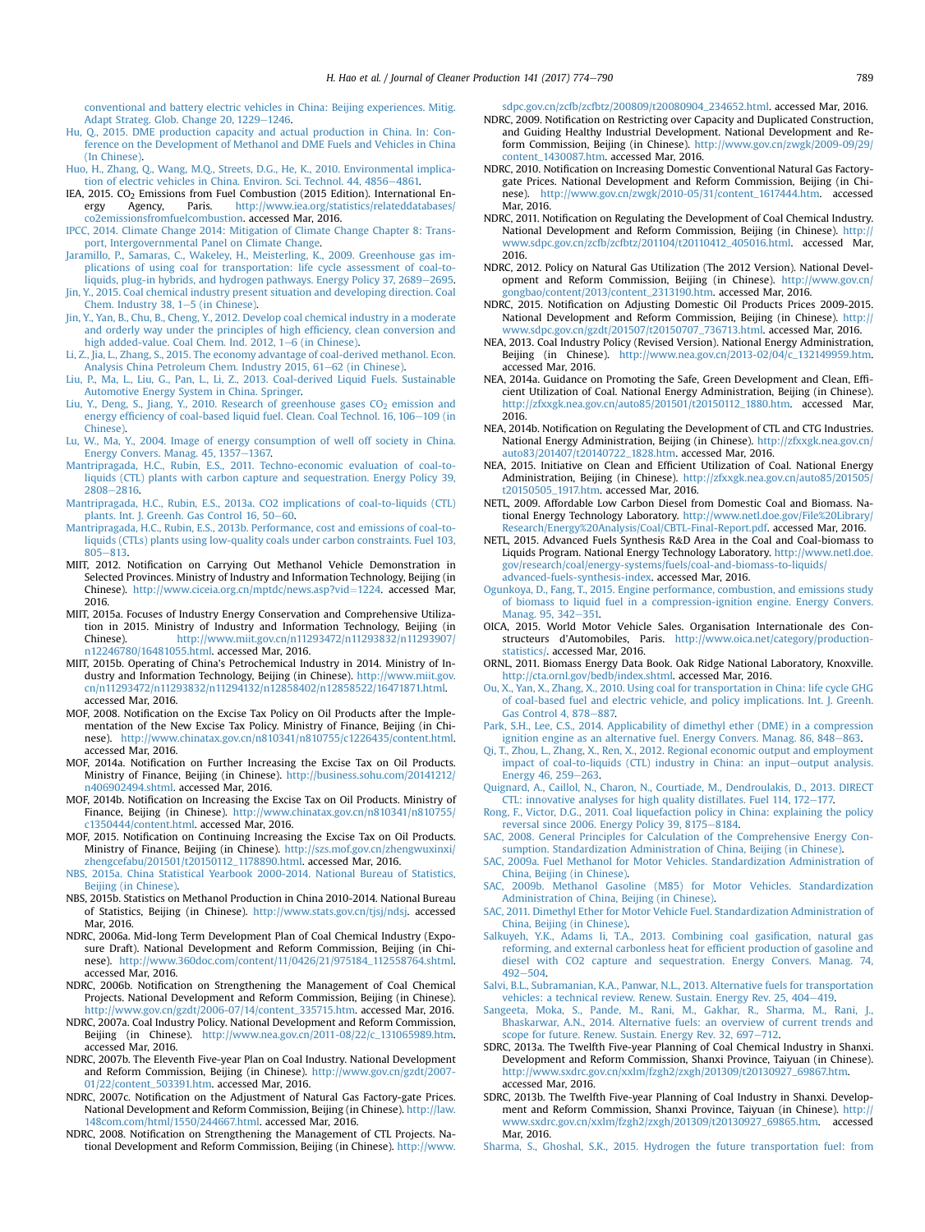<span id="page-15-0"></span>[conventional and battery electric vehicles in China: Beijing experiences. Mitig.](http://refhub.elsevier.com/S0959-6526(16)31478-0/sref33) [Adapt Strateg. Glob. Change 20, 1229](http://refhub.elsevier.com/S0959-6526(16)31478-0/sref33)-[1246](http://refhub.elsevier.com/S0959-6526(16)31478-0/sref33).

- [Hu, Q., 2015. DME production capacity and actual production in China. In: Con](http://refhub.elsevier.com/S0959-6526(16)31478-0/sref34)[ference on the Development of Methanol and DME Fuels and Vehicles in China](http://refhub.elsevier.com/S0959-6526(16)31478-0/sref34) [\(In Chinese\)](http://refhub.elsevier.com/S0959-6526(16)31478-0/sref34).
- [Huo, H., Zhang, Q., Wang, M.Q., Streets, D.G., He, K., 2010. Environmental implica](http://refhub.elsevier.com/S0959-6526(16)31478-0/sref35)[tion of electric vehicles in China. Environ. Sci. Technol. 44, 4856](http://refhub.elsevier.com/S0959-6526(16)31478-0/sref35)-[4861.](http://refhub.elsevier.com/S0959-6526(16)31478-0/sref35)
- IEA, 2015. CO<sub>2</sub> Emissions from Fuel Combustion (2015 Edition). International En-<br>
ergy Agency Paris http://www.jea.org/statistics/relateddatabases/ ergy Agency, Paris. [http://www.iea.org/statistics/relateddatabases/](http://www.iea.org/statistics/relateddatabases/co2emissionsfromfuelcombustion) [co2emissionsfromfuelcombustion.](http://www.iea.org/statistics/relateddatabases/co2emissionsfromfuelcombustion) accessed Mar, 2016.
- [IPCC, 2014. Climate Change 2014: Mitigation of Climate Change Chapter 8: Trans](http://refhub.elsevier.com/S0959-6526(16)31478-0/sref37)[port, Intergovernmental Panel on Climate Change.](http://refhub.elsevier.com/S0959-6526(16)31478-0/sref37)
- [Jaramillo, P., Samaras, C., Wakeley, H., Meisterling, K., 2009. Greenhouse gas im](http://refhub.elsevier.com/S0959-6526(16)31478-0/sref38)[plications of using coal for transportation: life cycle assessment of coal-to](http://refhub.elsevier.com/S0959-6526(16)31478-0/sref38)[liquids, plug-in hybrids, and hydrogen pathways. Energy Policy 37, 2689](http://refhub.elsevier.com/S0959-6526(16)31478-0/sref38)-[2695](http://refhub.elsevier.com/S0959-6526(16)31478-0/sref38).
- [Jin, Y., 2015. Coal chemical industry present situation and developing direction. Coal](http://refhub.elsevier.com/S0959-6526(16)31478-0/sref39) Chem. Industry  $38, 1-5$  (in Chinese).
- [Jin, Y., Yan, B., Chu, B., Cheng, Y., 2012. Develop coal chemical industry in a moderate](http://refhub.elsevier.com/S0959-6526(16)31478-0/sref40) [and orderly way under the principles of high ef](http://refhub.elsevier.com/S0959-6526(16)31478-0/sref40)ficiency, clean conversion and [high added-value. Coal Chem. Ind. 2012, 1](http://refhub.elsevier.com/S0959-6526(16)31478-0/sref40)–[6 \(in Chinese\)](http://refhub.elsevier.com/S0959-6526(16)31478-0/sref40).
- [Li, Z., Jia, L., Zhang, S., 2015. The economy advantage of coal-derived methanol. Econ.](http://refhub.elsevier.com/S0959-6526(16)31478-0/sref41) [Analysis China Petroleum Chem. Industry 2015, 61](http://refhub.elsevier.com/S0959-6526(16)31478-0/sref41)-[62 \(in Chinese\)](http://refhub.elsevier.com/S0959-6526(16)31478-0/sref41)
- [Liu, P., Ma, L., Liu, G., Pan, L., Li, Z., 2013. Coal-derived Liquid Fuels. Sustainable](http://refhub.elsevier.com/S0959-6526(16)31478-0/sref42) [Automotive Energy System in China. Springer.](http://refhub.elsevier.com/S0959-6526(16)31478-0/sref42)
- Liu, Y., Deng, S., Jiang, Y., 2010. Research of greenhouse gases  $CO<sub>2</sub>$  [emission and](http://refhub.elsevier.com/S0959-6526(16)31478-0/sref43) energy effi[ciency of coal-based liquid fuel. Clean. Coal Technol. 16, 106](http://refhub.elsevier.com/S0959-6526(16)31478-0/sref43)-[109 \(in](http://refhub.elsevier.com/S0959-6526(16)31478-0/sref43) [Chinese\).](http://refhub.elsevier.com/S0959-6526(16)31478-0/sref43)
- [Lu, W., Ma, Y., 2004. Image of energy consumption of well off society in China.](http://refhub.elsevier.com/S0959-6526(16)31478-0/sref44) [Energy Convers. Manag. 45, 1357](http://refhub.elsevier.com/S0959-6526(16)31478-0/sref44)-[1367.](http://refhub.elsevier.com/S0959-6526(16)31478-0/sref44)
- [Mantripragada, H.C., Rubin, E.S., 2011. Techno-economic evaluation of coal-to](http://refhub.elsevier.com/S0959-6526(16)31478-0/sref45)[liquids \(CTL\) plants with carbon capture and sequestration. Energy Policy 39,](http://refhub.elsevier.com/S0959-6526(16)31478-0/sref45) [2808](http://refhub.elsevier.com/S0959-6526(16)31478-0/sref45)-[2816](http://refhub.elsevier.com/S0959-6526(16)31478-0/sref45).
- [Mantripragada, H.C., Rubin, E.S., 2013a. CO2 implications of coal-to-liquids \(CTL\)](http://refhub.elsevier.com/S0959-6526(16)31478-0/sref46) [plants. Int. J. Greenh. Gas Control 16, 50](http://refhub.elsevier.com/S0959-6526(16)31478-0/sref46)-[60](http://refhub.elsevier.com/S0959-6526(16)31478-0/sref46).
- [Mantripragada, H.C., Rubin, E.S., 2013b. Performance, cost and emissions of coal-to](http://refhub.elsevier.com/S0959-6526(16)31478-0/sref47)[liquids \(CTLs\) plants using low-quality coals under carbon constraints. Fuel 103,](http://refhub.elsevier.com/S0959-6526(16)31478-0/sref47)  $805 - 813$  $805 - 813$
- MIIT, 2012. Notification on Carrying Out Methanol Vehicle Demonstration in Selected Provinces. Ministry of Industry and Information Technology, Beijing (in Chinese). [http://www.ciceia.org.cn/mptdc/news.asp?vid](http://www.ciceia.org.cn/mptdc/news.asp?vid=1224)=[1224](http://www.ciceia.org.cn/mptdc/news.asp?vid=1224). accessed Mar, 2016.
- MIIT, 2015a. Focuses of Industry Energy Conservation and Comprehensive Utilization in 2015. Ministry of Industry and Information Technology, Beijing (in Chinese). [http://www.miit.gov.cn/n11293472/n11293832/n11293907/](http://www.miit.gov.cn/n11293472/n11293832/n11293907/n12246780/16481055.html) [n12246780/16481055.html](http://www.miit.gov.cn/n11293472/n11293832/n11293907/n12246780/16481055.html). accessed Mar, 2016.
- MIIT, 2015b. Operating of China's Petrochemical Industry in 2014. Ministry of Industry and Information Technology, Beijing (in Chinese). [http://www.miit.gov.](http://www.miit.gov.cn/n11293472/n11293832/n11294132/n12858402/n12858522/16471871.html) [cn/n11293472/n11293832/n11294132/n12858402/n12858522/16471871.html.](http://www.miit.gov.cn/n11293472/n11293832/n11294132/n12858402/n12858522/16471871.html) accessed Mar, 2016.
- MOF, 2008. Notification on the Excise Tax Policy on Oil Products after the Implementation of the New Excise Tax Policy. Ministry of Finance, Beijing (in Chinese). <http://www.chinatax.gov.cn/n810341/n810755/c1226435/content.html>. accessed Mar, 2016.
- MOF, 2014a. Notification on Further Increasing the Excise Tax on Oil Products. Ministry of Finance, Beijing (in Chinese). [http://business.sohu.com/20141212/](http://business.sohu.com/20141212/n406902494.shtml) [n406902494.shtml.](http://business.sohu.com/20141212/n406902494.shtml) accessed Mar, 2016.
- MOF, 2014b. Notification on Increasing the Excise Tax on Oil Products. Ministry of Finance, Beijing (in Chinese). [http://www.chinatax.gov.cn/n810341/n810755/](http://www.chinatax.gov.cn/n810341/n810755/c1350444/content.html) [c1350444/content.html](http://www.chinatax.gov.cn/n810341/n810755/c1350444/content.html). accessed Mar, 2016.
- MOF, 2015. Notification on Continuing Increasing the Excise Tax on Oil Products. Ministry of Finance, Beijing (in Chinese). [http://szs.mof.gov.cn/zhengwuxinxi/](http://szs.mof.gov.cn/zhengwuxinxi/zhengcefabu/201501/t20150112_1178890.html) [zhengcefabu/201501/t20150112\\_1178890.html.](http://szs.mof.gov.cn/zhengwuxinxi/zhengcefabu/201501/t20150112_1178890.html) accessed Mar, 2016.
- [NBS, 2015a. China Statistical Yearbook 2000-2014. National Bureau of Statistics,](http://refhub.elsevier.com/S0959-6526(16)31478-0/sref55) [Beijing \(in Chinese\)](http://refhub.elsevier.com/S0959-6526(16)31478-0/sref55).
- NBS, 2015b. Statistics on Methanol Production in China 2010-2014. National Bureau of Statistics, Beijing (in Chinese). <http://www.stats.gov.cn/tjsj/ndsj>. accessed Mar, 2016.
- NDRC, 2006a. Mid-long Term Development Plan of Coal Chemical Industry (Exposure Draft). National Development and Reform Commission, Beijing (in Chinese). [http://www.360doc.com/content/11/0426/21/975184\\_112558764.shtml](http://www.360doc.com/content/11/0426/21/975184_112558764.shtml). accessed Mar, 2016.
- NDRC, 2006b. Notification on Strengthening the Management of Coal Chemical Projects. National Development and Reform Commission, Beijing (in Chinese). [http://www.gov.cn/gzdt/2006-07/14/content\\_335715.htm.](http://www.gov.cn/gzdt/2006-07/14/content_335715.htm) accessed Mar, 2016.
- NDRC, 2007a. Coal Industry Policy. National Development and Reform Commission, Beijing (in Chinese). [http://www.nea.gov.cn/2011-08/22/c\\_131065989.htm](http://www.nea.gov.cn/2011-08/22/c_131065989.htm). accessed Mar, 2016.
- NDRC, 2007b. The Eleventh Five-year Plan on Coal Industry. National Development and Reform Commission, Beijing (in Chinese). [http://www.gov.cn/gzdt/2007-](http://www.gov.cn/gzdt/2007-01/22/content_503391.htm) [01/22/content\\_503391.htm](http://www.gov.cn/gzdt/2007-01/22/content_503391.htm). accessed Mar, 2016.
- NDRC, 2007c. Notification on the Adjustment of Natural Gas Factory-gate Prices. National Development and Reform Commission, Beijing (in Chinese). [http://law.](http://law.148com.com/html/1550/244667.html) [148com.com/html/1550/244667.html](http://law.148com.com/html/1550/244667.html). accessed Mar, 2016.
- NDRC, 2008. Notification on Strengthening the Management of CTL Projects. National Development and Reform Commission, Beijing (in Chinese). [http://www.](http://www.sdpc.gov.cn/zcfb/zcfbtz/200809/t20080904_234652.html)

[sdpc.gov.cn/zcfb/zcfbtz/200809/t20080904\\_234652.html](http://www.sdpc.gov.cn/zcfb/zcfbtz/200809/t20080904_234652.html). accessed Mar, 2016.

- NDRC, 2009. Notification on Restricting over Capacity and Duplicated Construction, and Guiding Healthy Industrial Development. National Development and Reform Commission, Beijing (in Chinese). [http://www.gov.cn/zwgk/2009-09/29/](http://www.gov.cn/zwgk/2009-09/29/content_1430087.htm) [content\\_1430087.htm.](http://www.gov.cn/zwgk/2009-09/29/content_1430087.htm) accessed Mar, 2016.
- NDRC, 2010. Notification on Increasing Domestic Conventional Natural Gas Factorygate Prices. National Development and Reform Commission, Beijing (in Chinese). [http://www.gov.cn/zwgk/2010-05/31/content\\_1617444.htm.](http://www.gov.cn/zwgk/2010-05/31/content_1617444.htm) accessed Mar, 2016.
- NDRC, 2011. Notification on Regulating the Development of Coal Chemical Industry. National Development and Reform Commission, Beijing (in Chinese). [http://](http://www.sdpc.gov.cn/zcfb/zcfbtz/201104/t20110412_405016.html) [www.sdpc.gov.cn/zcfb/zcfbtz/201104/t20110412\\_405016.html](http://www.sdpc.gov.cn/zcfb/zcfbtz/201104/t20110412_405016.html). accessed Mar, 2016.
- NDRC, 2012. Policy on Natural Gas Utilization (The 2012 Version). National Development and Reform Commission, Beijing (in Chinese). [http://www.gov.cn/](http://www.gov.cn/gongbao/content/2013/content_2313190.htm) [gongbao/content/2013/content\\_2313190.htm](http://www.gov.cn/gongbao/content/2013/content_2313190.htm). accessed Mar, 2016.
- NDRC, 2015. Notification on Adjusting Domestic Oil Products Prices 2009-2015. National Development and Reform Commission, Beijing (in Chinese). [http://](http://www.sdpc.gov.cn/gzdt/201507/t20150707_736713.html) [www.sdpc.gov.cn/gzdt/201507/t20150707\\_736713.html](http://www.sdpc.gov.cn/gzdt/201507/t20150707_736713.html). accessed Mar, 2016.
- NEA, 2013. Coal Industry Policy (Revised Version). National Energy Administration, Beijing (in Chinese). [http://www.nea.gov.cn/2013-02/04/c\\_132149959.htm](http://www.nea.gov.cn/2013-02/04/c_132149959.htm). accessed Mar, 2016.
- NEA, 2014a. Guidance on Promoting the Safe, Green Development and Clean, Efficient Utilization of Coal. National Energy Administration, Beijing (in Chinese). [http://zfxxgk.nea.gov.cn/auto85/201501/t20150112\\_1880.htm.](http://zfxxgk.nea.gov.cn/auto85/201501/t20150112_1880.htm) accessed Mar, 2016.
- NEA, 2014b. Notification on Regulating the Development of CTL and CTG Industries. National Energy Administration, Beijing (in Chinese). [http://zfxxgk.nea.gov.cn/](http://zfxxgk.nea.gov.cn/auto83/201407/t20140722_1828.htm) [auto83/201407/t20140722\\_1828.htm](http://zfxxgk.nea.gov.cn/auto83/201407/t20140722_1828.htm). accessed Mar, 2016.
- NEA, 2015. Initiative on Clean and Efficient Utilization of Coal. National Energy Administration, Beijing (in Chinese). [http://zfxxgk.nea.gov.cn/auto85/201505/](http://zfxxgk.nea.gov.cn/auto85/201505/t20150505_1917.htm) [t20150505\\_1917.htm](http://zfxxgk.nea.gov.cn/auto85/201505/t20150505_1917.htm). accessed Mar, 2016.
- NETL, 2009. Affordable Low Carbon Diesel from Domestic Coal and Biomass. National Energy Technology Laboratory. [http://www.netl.doe.gov/File%20Library/](http://www.netl.doe.gov/File%20Library/Research/Energy%20Analysis/Coal/CBTL-Final-Report.pdf) [Research/Energy%20Analysis/Coal/CBTL-Final-Report.pdf](http://www.netl.doe.gov/File%20Library/Research/Energy%20Analysis/Coal/CBTL-Final-Report.pdf). accessed Mar, 2016.
- NETL, 2015. Advanced Fuels Synthesis R&D Area in the Coal and Coal-biomass to Liquids Program. National Energy Technology Laboratory. [http://www.netl.doe.](http://www.netl.doe.gov/research/coal/energy-systems/fuels/coal-and-biomass-to-liquids/advanced-fuels-synthesis-index) [gov/research/coal/energy-systems/fuels/coal-and-biomass-to-liquids/](http://www.netl.doe.gov/research/coal/energy-systems/fuels/coal-and-biomass-to-liquids/advanced-fuels-synthesis-index) [advanced-fuels-synthesis-index](http://www.netl.doe.gov/research/coal/energy-systems/fuels/coal-and-biomass-to-liquids/advanced-fuels-synthesis-index). accessed Mar, 2016.
- [Ogunkoya, D., Fang, T., 2015. Engine performance, combustion, and emissions study](http://refhub.elsevier.com/S0959-6526(16)31478-0/sref74) [of biomass to liquid fuel in a compression-ignition engine. Energy Convers.](http://refhub.elsevier.com/S0959-6526(16)31478-0/sref74) [Manag. 95, 342](http://refhub.elsevier.com/S0959-6526(16)31478-0/sref74)-[351.](http://refhub.elsevier.com/S0959-6526(16)31478-0/sref74)
- OICA, 2015. World Motor Vehicle Sales. Organisation Internationale des Constructeurs d'Automobiles, Paris. [http://www.oica.net/category/production](http://www.oica.net/category/production-statistics/)[statistics/](http://www.oica.net/category/production-statistics/). accessed Mar, 2016.
- ORNL, 2011. Biomass Energy Data Book. Oak Ridge National Laboratory, Knoxville. <http://cta.ornl.gov/bedb/index.shtml>. accessed Mar, 2016.
- [Ou, X., Yan, X., Zhang, X., 2010. Using coal for transportation in China: life cycle GHG](http://refhub.elsevier.com/S0959-6526(16)31478-0/sref77) [of coal-based fuel and electric vehicle, and policy implications. Int. J. Greenh.](http://refhub.elsevier.com/S0959-6526(16)31478-0/sref77) [Gas Control 4, 878](http://refhub.elsevier.com/S0959-6526(16)31478-0/sref77)-[887.](http://refhub.elsevier.com/S0959-6526(16)31478-0/sref77)
- [Park, S.H., Lee, C.S., 2014. Applicability of dimethyl ether \(DME\) in a compression](http://refhub.elsevier.com/S0959-6526(16)31478-0/sref78) [ignition engine as an alternative fuel. Energy Convers. Manag. 86, 848](http://refhub.elsevier.com/S0959-6526(16)31478-0/sref78)-[863](http://refhub.elsevier.com/S0959-6526(16)31478-0/sref78).
- [Qi, T., Zhou, L., Zhang, X., Ren, X., 2012. Regional economic output and employment](http://refhub.elsevier.com/S0959-6526(16)31478-0/sref79) [impact of coal-to-liquids \(CTL\) industry in China: an input](http://refhub.elsevier.com/S0959-6526(16)31478-0/sref79)-[output analysis.](http://refhub.elsevier.com/S0959-6526(16)31478-0/sref79) [Energy 46, 259](http://refhub.elsevier.com/S0959-6526(16)31478-0/sref79)-[263.](http://refhub.elsevier.com/S0959-6526(16)31478-0/sref79)
- [Quignard, A., Caillol, N., Charon, N., Courtiade, M., Dendroulakis, D., 2013. DIRECT](http://refhub.elsevier.com/S0959-6526(16)31478-0/sref80) [CTL: innovative analyses for high quality distillates. Fuel 114, 172](http://refhub.elsevier.com/S0959-6526(16)31478-0/sref80)-[177.](http://refhub.elsevier.com/S0959-6526(16)31478-0/sref80)
- [Rong, F., Victor, D.G., 2011. Coal liquefaction policy in China: explaining the policy](http://refhub.elsevier.com/S0959-6526(16)31478-0/sref81) [reversal since 2006. Energy Policy 39, 8175](http://refhub.elsevier.com/S0959-6526(16)31478-0/sref81)-[8184](http://refhub.elsevier.com/S0959-6526(16)31478-0/sref81).
- [SAC, 2008. General Principles for Calculation of the Comprehensive Energy Con](http://refhub.elsevier.com/S0959-6526(16)31478-0/sref82)[sumption. Standardization Administration of China, Beijing \(in Chinese\)](http://refhub.elsevier.com/S0959-6526(16)31478-0/sref82).
- [SAC, 2009a. Fuel Methanol for Motor Vehicles. Standardization Administration of](http://refhub.elsevier.com/S0959-6526(16)31478-0/sref83) [China, Beijing \(in Chinese\).](http://refhub.elsevier.com/S0959-6526(16)31478-0/sref83)
- [SAC, 2009b. Methanol Gasoline \(M85\) for Motor Vehicles. Standardization](http://refhub.elsevier.com/S0959-6526(16)31478-0/sref84) [Administration of China, Beijing \(in Chinese\).](http://refhub.elsevier.com/S0959-6526(16)31478-0/sref84)
- [SAC, 2011. Dimethyl Ether for Motor Vehicle Fuel. Standardization Administration of](http://refhub.elsevier.com/S0959-6526(16)31478-0/sref85) [China, Beijing \(in Chinese\).](http://refhub.elsevier.com/S0959-6526(16)31478-0/sref85)
- [Salkuyeh, Y.K., Adams Ii, T.A., 2013. Combining coal gasi](http://refhub.elsevier.com/S0959-6526(16)31478-0/sref86)fication, natural gas [reforming, and external carbonless heat for ef](http://refhub.elsevier.com/S0959-6526(16)31478-0/sref86)ficient production of gasoline and [diesel with CO2 capture and sequestration. Energy Convers. Manag. 74,](http://refhub.elsevier.com/S0959-6526(16)31478-0/sref86)  $492 - 504.$  $492 - 504.$  $492 - 504.$  $492 - 504.$
- [Salvi, B.L., Subramanian, K.A., Panwar, N.L., 2013. Alternative fuels for transportation](http://refhub.elsevier.com/S0959-6526(16)31478-0/sref87) [vehicles: a technical review. Renew. Sustain. Energy Rev. 25, 404](http://refhub.elsevier.com/S0959-6526(16)31478-0/sref87)-[419](http://refhub.elsevier.com/S0959-6526(16)31478-0/sref87).
- Sangeeta, Moka, S., Pande, M., Rani, M., Gakhar, R., Sharma, M., Rani, J. [Bhaskarwar, A.N., 2014. Alternative fuels: an overview of current trends and](http://refhub.elsevier.com/S0959-6526(16)31478-0/sref88) [scope for future. Renew. Sustain. Energy Rev. 32, 697](http://refhub.elsevier.com/S0959-6526(16)31478-0/sref88)-[712](http://refhub.elsevier.com/S0959-6526(16)31478-0/sref88).
- SDRC, 2013a. The Twelfth Five-year Planning of Coal Chemical Industry in Shanxi. Development and Reform Commission, Shanxi Province, Taiyuan (in Chinese). [http://www.sxdrc.gov.cn/xxlm/fzgh2/zxgh/201309/t20130927\\_69867.htm.](http://www.sxdrc.gov.cn/xxlm/fzgh2/zxgh/201309/t20130927_69867.htm) accessed Mar, 2016.
- SDRC, 2013b. The Twelfth Five-year Planning of Coal Industry in Shanxi. Development and Reform Commission, Shanxi Province, Taiyuan (in Chinese). [http://](http://www.sxdrc.gov.cn/xxlm/fzgh2/zxgh/201309/t20130927_69865.htm) [www.sxdrc.gov.cn/xxlm/fzgh2/zxgh/201309/t20130927\\_69865.htm.](http://www.sxdrc.gov.cn/xxlm/fzgh2/zxgh/201309/t20130927_69865.htm) accessed Mar, 2016.
- [Sharma, S., Ghoshal, S.K., 2015. Hydrogen the future transportation fuel: from](http://refhub.elsevier.com/S0959-6526(16)31478-0/sref91)